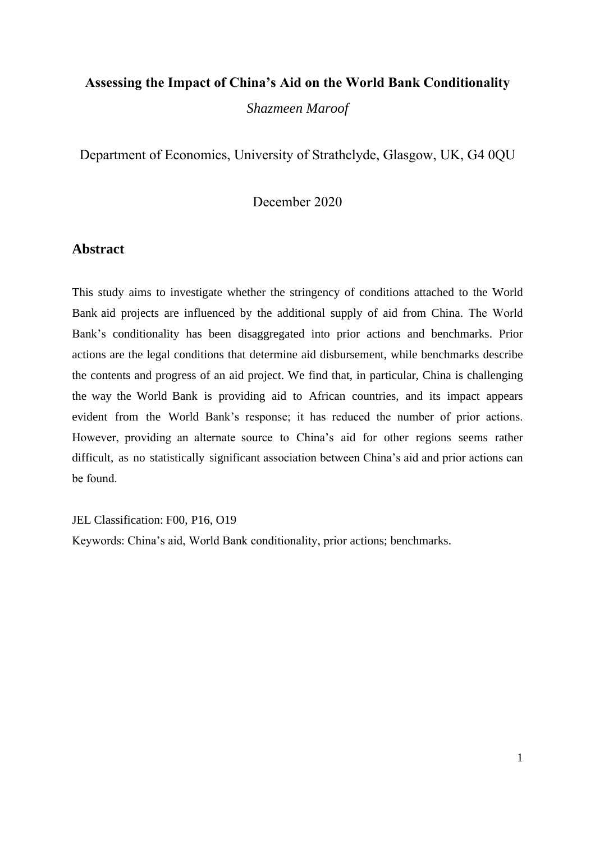## **Assessing the Impact of China's Aid on the World Bank Conditionality**

*Shazmeen Maroof* 

Department of Economics, University of Strathclyde, Glasgow, UK, G4 0QU

December 2020

## **Abstract**

This study aims to investigate whether the stringency of conditions attached to the World Bank aid projects are influenced by the additional supply of aid from China. The World Bank's conditionality has been disaggregated into prior actions and benchmarks. Prior actions are the legal conditions that determine aid disbursement, while benchmarks describe the contents and progress of an aid project. We find that, in particular, China is challenging the way the World Bank is providing aid to African countries, and its impact appears evident from the World Bank's response; it has reduced the number of prior actions. However, providing an alternate source to China's aid for other regions seems rather difficult, as no statistically significant association between China's aid and prior actions can be found.

JEL Classification: F00, P16, O19

Keywords: China's aid, World Bank conditionality, prior actions; benchmarks.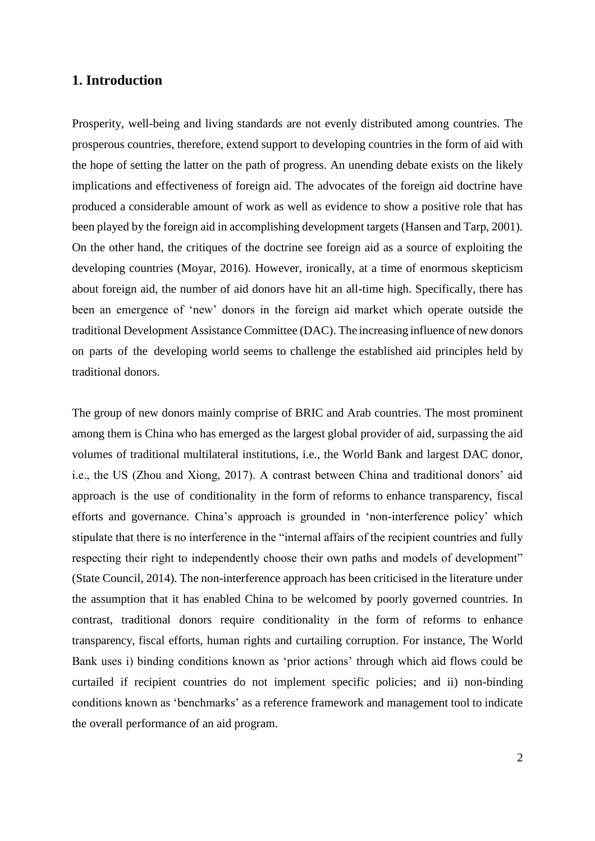## **1. Introduction**

Prosperity, well-being and living standards are not evenly distributed among countries. The prosperous countries, therefore, extend support to developing countries in the form of aid with the hope of setting the latter on the path of progress. An unending debate exists on the likely implications and effectiveness of foreign aid. The advocates of the foreign aid doctrine have produced a considerable amount of work as well as evidence to show a positive role that has been played by the foreign aid in accomplishing development targets (Hansen and Tarp, 2001). On the other hand, the critiques of the doctrine see foreign aid as a source of exploiting the developing countries (Moyar, 2016). However, ironically, at a time of enormous skepticism about foreign aid, the number of aid donors have hit an all-time high. Specifically, there has been an emergence of 'new' donors in the foreign aid market which operate outside the traditional Development Assistance Committee (DAC). The increasing influence of new donors on parts of the developing world seems to challenge the established aid principles held by traditional donors.

The group of new donors mainly comprise of BRIC and Arab countries. The most prominent among them is China who has emerged as the largest global provider of aid, surpassing the aid volumes of traditional multilateral institutions, i.e., the World Bank and largest DAC donor, i.e., the US (Zhou and Xiong, 2017). A contrast between China and traditional donors' aid approach is the use of conditionality in the form of reforms to enhance transparency, fiscal efforts and governance. China's approach is grounded in 'non-interference policy' which stipulate that there is no interference in the "internal affairs of the recipient countries and fully respecting their right to independently choose their own paths and models of development" (State Council, 2014). The non-interference approach has been criticised in the literature under the assumption that it has enabled China to be welcomed by poorly governed countries. In contrast, traditional donors require conditionality in the form of reforms to enhance transparency, fiscal efforts, human rights and curtailing corruption. For instance, The World Bank uses i) binding conditions known as 'prior actions' through which aid flows could be curtailed if recipient countries do not implement specific policies; and ii) non-binding conditions known as 'benchmarks' as a reference framework and management tool to indicate the overall performance of an aid program.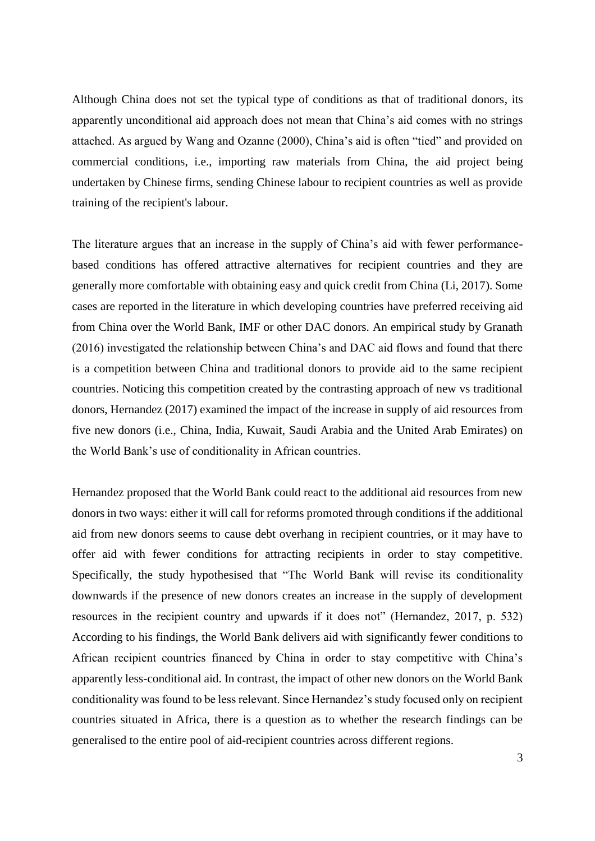Although China does not set the typical type of conditions as that of traditional donors, its apparently unconditional aid approach does not mean that China's aid comes with no strings attached. As argued by Wang and Ozanne (2000), China's aid is often "tied" and provided on commercial conditions, i.e., importing raw materials from China, the aid project being undertaken by Chinese firms, sending Chinese labour to recipient countries as well as provide training of the recipient's labour.

The literature argues that an increase in the supply of China's aid with fewer performancebased conditions has offered attractive alternatives for recipient countries and they are generally more comfortable with obtaining easy and quick credit from China (Li, 2017). Some cases are reported in the literature in which developing countries have preferred receiving aid from China over the World Bank, IMF or other DAC donors. An empirical study by Granath (2016) investigated the relationship between China's and DAC aid flows and found that there is a competition between China and traditional donors to provide aid to the same recipient countries. Noticing this competition created by the contrasting approach of new vs traditional donors, Hernandez (2017) examined the impact of the increase in supply of aid resources from five new donors (i.e., China, India, Kuwait, Saudi Arabia and the United Arab Emirates) on the World Bank's use of conditionality in African countries.

Hernandez proposed that the World Bank could react to the additional aid resources from new donors in two ways: either it will call for reforms promoted through conditions if the additional aid from new donors seems to cause debt overhang in recipient countries, or it may have to offer aid with fewer conditions for attracting recipients in order to stay competitive. Specifically, the study hypothesised that "The World Bank will revise its conditionality downwards if the presence of new donors creates an increase in the supply of development resources in the recipient country and upwards if it does not" (Hernandez, 2017, p. 532) According to his findings, the World Bank delivers aid with significantly fewer conditions to African recipient countries financed by China in order to stay competitive with China's apparently less-conditional aid. In contrast, the impact of other new donors on the World Bank conditionality was found to be less relevant. Since Hernandez's study focused only on recipient countries situated in Africa, there is a question as to whether the research findings can be generalised to the entire pool of aid-recipient countries across different regions.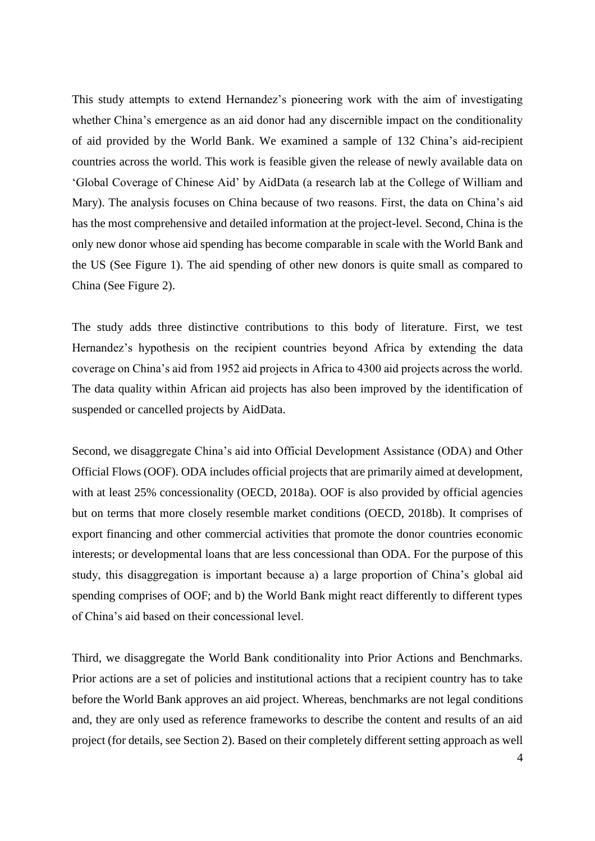This study attempts to extend Hernandez's pioneering work with the aim of investigating whether China's emergence as an aid donor had any discernible impact on the conditionality of aid provided by the World Bank. We examined a sample of 132 China's aid-recipient countries across the world. This work is feasible given the release of newly available data on 'Global Coverage of Chinese Aid' by AidData (a research lab at the College of William and Mary). The analysis focuses on China because of two reasons. First, the data on China's aid has the most comprehensive and detailed information at the project-level. Second, China is the only new donor whose aid spending has become comparable in scale with the World Bank and the US (See Figure 1). The aid spending of other new donors is quite small as compared to China (See Figure 2).

The study adds three distinctive contributions to this body of literature. First, we test Hernandez's hypothesis on the recipient countries beyond Africa by extending the data coverage on China's aid from 1952 aid projects in Africa to 4300 aid projects across the world. The data quality within African aid projects has also been improved by the identification of suspended or cancelled projects by AidData.

Second, we disaggregate China's aid into Official Development Assistance (ODA) and Other Official Flows (OOF). ODA includes official projects that are primarily aimed at development, with at least 25% concessionality (OECD, 2018a). OOF is also provided by official agencies but on terms that more closely resemble market conditions (OECD, 2018b). It comprises of export financing and other commercial activities that promote the donor countries economic interests; or developmental loans that are less concessional than ODA. For the purpose of this study, this disaggregation is important because a) a large proportion of China's global aid spending comprises of OOF; and b) the World Bank might react differently to different types of China's aid based on their concessional level.

Third, we disaggregate the World Bank conditionality into Prior Actions and Benchmarks. Prior actions are a set of policies and institutional actions that a recipient country has to take before the World Bank approves an aid project. Whereas, benchmarks are not legal conditions and, they are only used as reference frameworks to describe the content and results of an aid project (for details, see Section 2). Based on their completely different setting approach as well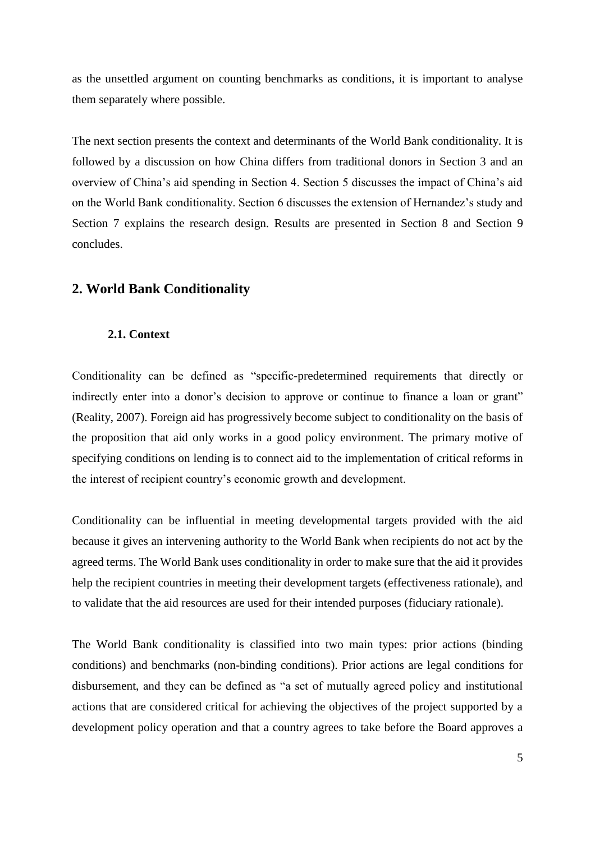as the unsettled argument on counting benchmarks as conditions, it is important to analyse them separately where possible.

The next section presents the context and determinants of the World Bank conditionality. It is followed by a discussion on how China differs from traditional donors in Section 3 and an overview of China's aid spending in Section 4. Section 5 discusses the impact of China's aid on the World Bank conditionality. Section 6 discusses the extension of Hernandez's study and Section 7 explains the research design. Results are presented in Section 8 and Section 9 concludes.

## **2. World Bank Conditionality**

## **2.1. Context**

Conditionality can be defined as "specific-predetermined requirements that directly or indirectly enter into a donor's decision to approve or continue to finance a loan or grant" (Reality, 2007). Foreign aid has progressively become subject to conditionality on the basis of the proposition that aid only works in a good policy environment. The primary motive of specifying conditions on lending is to connect aid to the implementation of critical reforms in the interest of recipient country's economic growth and development.

Conditionality can be influential in meeting developmental targets provided with the aid because it gives an intervening authority to the World Bank when recipients do not act by the agreed terms. The World Bank uses conditionality in order to make sure that the aid it provides help the recipient countries in meeting their development targets (effectiveness rationale), and to validate that the aid resources are used for their intended purposes (fiduciary rationale).

The World Bank conditionality is classified into two main types: prior actions (binding conditions) and benchmarks (non-binding conditions). Prior actions are legal conditions for disbursement, and they can be defined as "a set of mutually agreed policy and institutional actions that are considered critical for achieving the objectives of the project supported by a development policy operation and that a country agrees to take before the Board approves a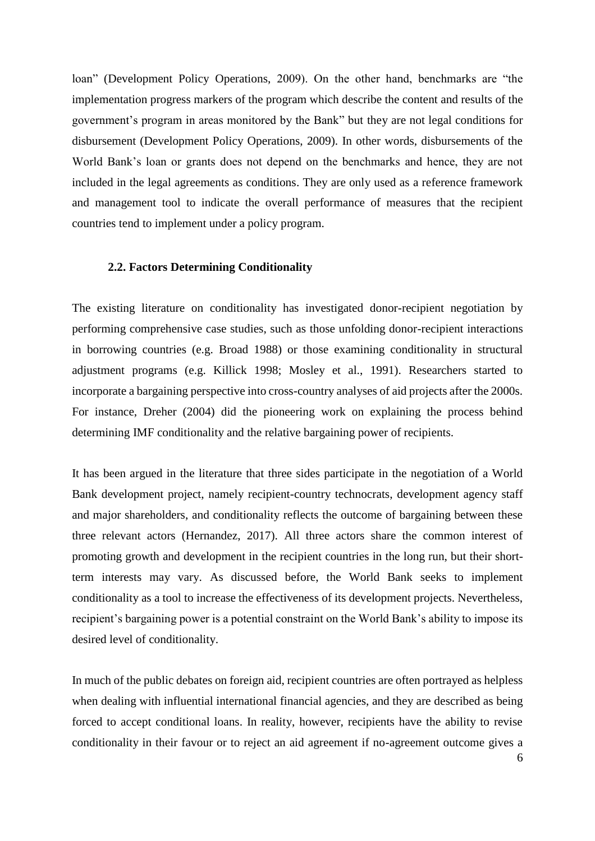loan" (Development Policy Operations, 2009). On the other hand, benchmarks are "the implementation progress markers of the program which describe the content and results of the government's program in areas monitored by the Bank" but they are not legal conditions for disbursement (Development Policy Operations, 2009). In other words, disbursements of the World Bank's loan or grants does not depend on the benchmarks and hence, they are not included in the legal agreements as conditions. They are only used as a reference framework and management tool to indicate the overall performance of measures that the recipient countries tend to implement under a policy program.

### **2.2. Factors Determining Conditionality**

The existing literature on conditionality has investigated donor-recipient negotiation by performing comprehensive case studies, such as those unfolding donor-recipient interactions in borrowing countries (e.g. Broad 1988) or those examining conditionality in structural adjustment programs (e.g. Killick 1998; Mosley et al., 1991). Researchers started to incorporate a bargaining perspective into cross-country analyses of aid projects after the 2000s. For instance, Dreher (2004) did the pioneering work on explaining the process behind determining IMF conditionality and the relative bargaining power of recipients.

It has been argued in the literature that three sides participate in the negotiation of a World Bank development project, namely recipient-country technocrats, development agency staff and major shareholders, and conditionality reflects the outcome of bargaining between these three relevant actors (Hernandez, 2017). All three actors share the common interest of promoting growth and development in the recipient countries in the long run, but their shortterm interests may vary. As discussed before, the World Bank seeks to implement conditionality as a tool to increase the effectiveness of its development projects. Nevertheless, recipient's bargaining power is a potential constraint on the World Bank's ability to impose its desired level of conditionality.

In much of the public debates on foreign aid, recipient countries are often portrayed as helpless when dealing with influential international financial agencies, and they are described as being forced to accept conditional loans. In reality, however, recipients have the ability to revise conditionality in their favour or to reject an aid agreement if no-agreement outcome gives a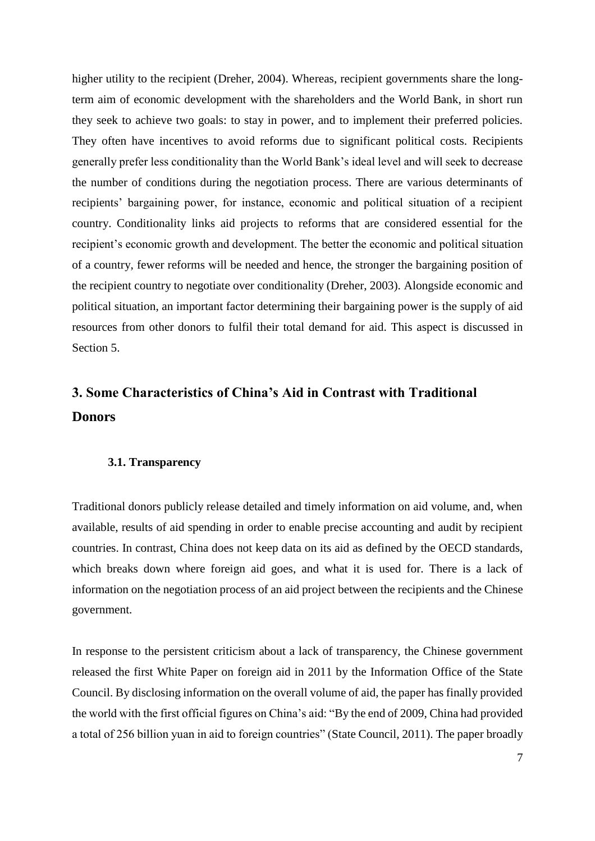higher utility to the recipient (Dreher, 2004). Whereas, recipient governments share the longterm aim of economic development with the shareholders and the World Bank, in short run they seek to achieve two goals: to stay in power, and to implement their preferred policies. They often have incentives to avoid reforms due to significant political costs. Recipients generally prefer less conditionality than the World Bank's ideal level and will seek to decrease the number of conditions during the negotiation process. There are various determinants of recipients' bargaining power, for instance, economic and political situation of a recipient country. Conditionality links aid projects to reforms that are considered essential for the recipient's economic growth and development. The better the economic and political situation of a country, fewer reforms will be needed and hence, the stronger the bargaining position of the recipient country to negotiate over conditionality (Dreher, 2003). Alongside economic and political situation, an important factor determining their bargaining power is the supply of aid resources from other donors to fulfil their total demand for aid. This aspect is discussed in Section 5.

# **3. Some Characteristics of China's Aid in Contrast with Traditional Donors**

### **3.1. Transparency**

Traditional donors publicly release detailed and timely information on aid volume, and, when available, results of aid spending in order to enable precise accounting and audit by recipient countries. In contrast, China does not keep data on its aid as defined by the OECD standards, which breaks down where foreign aid goes, and what it is used for. There is a lack of information on the negotiation process of an aid project between the recipients and the Chinese government.

In response to the persistent criticism about a lack of transparency, the Chinese government released the first White Paper on foreign aid in 2011 by the Information Office of the State Council. By disclosing information on the overall volume of aid, the paper has finally provided the world with the first official figures on China's aid: "By the end of 2009, China had provided a total of 256 billion yuan in aid to foreign countries" (State Council, 2011). The paper broadly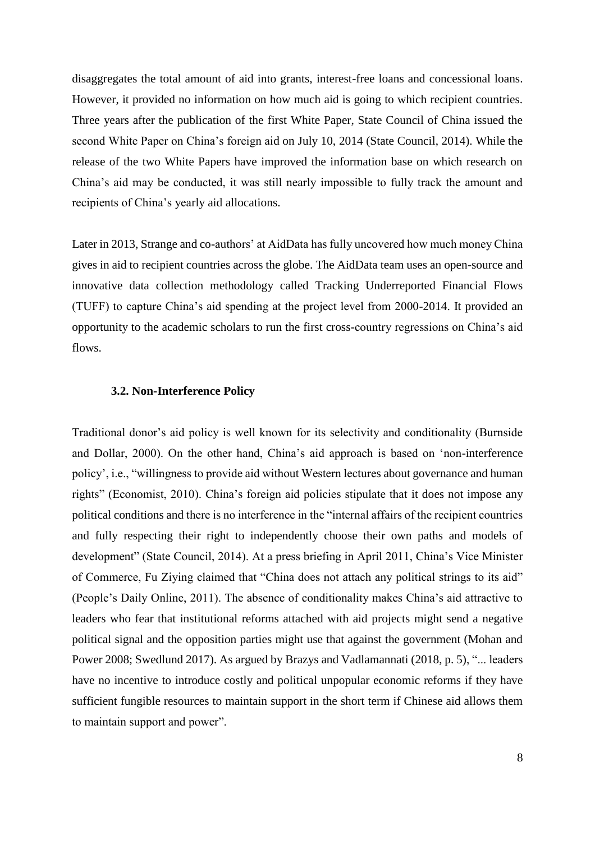disaggregates the total amount of aid into grants, interest-free loans and concessional loans. However, it provided no information on how much aid is going to which recipient countries. Three years after the publication of the first White Paper, State Council of China issued the second White Paper on China's foreign aid on July 10, 2014 (State Council, 2014). While the release of the two White Papers have improved the information base on which research on China's aid may be conducted, it was still nearly impossible to fully track the amount and recipients of China's yearly aid allocations.

Later in 2013, Strange and co-authors' at AidData has fully uncovered how much money China gives in aid to recipient countries across the globe. The AidData team uses an open-source and innovative data collection methodology called Tracking Underreported Financial Flows (TUFF) to capture China's aid spending at the project level from 2000-2014. It provided an opportunity to the academic scholars to run the first cross-country regressions on China's aid flows.

### **3.2. Non-Interference Policy**

Traditional donor's aid policy is well known for its selectivity and conditionality (Burnside and Dollar, 2000). On the other hand, China's aid approach is based on 'non-interference policy', i.e., "willingness to provide aid without Western lectures about governance and human rights" (Economist, 2010). China's foreign aid policies stipulate that it does not impose any political conditions and there is no interference in the "internal affairs of the recipient countries and fully respecting their right to independently choose their own paths and models of development" (State Council, 2014). At a press briefing in April 2011, China's Vice Minister of Commerce, Fu Ziying claimed that "China does not attach any political strings to its aid" (People's Daily Online, 2011). The absence of conditionality makes China's aid attractive to leaders who fear that institutional reforms attached with aid projects might send a negative political signal and the opposition parties might use that against the government (Mohan and Power 2008; Swedlund 2017). As argued by Brazys and Vadlamannati (2018, p. 5), "... leaders have no incentive to introduce costly and political unpopular economic reforms if they have sufficient fungible resources to maintain support in the short term if Chinese aid allows them to maintain support and power".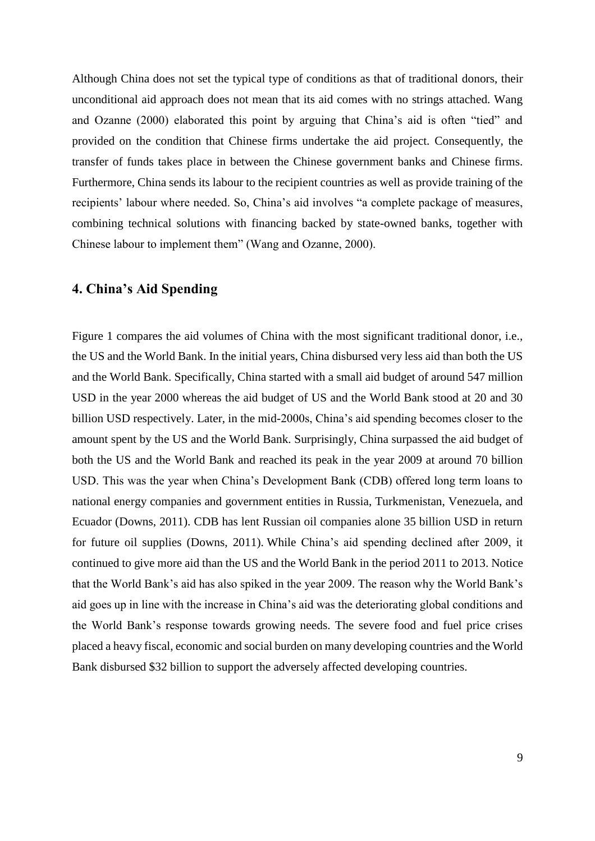Although China does not set the typical type of conditions as that of traditional donors, their unconditional aid approach does not mean that its aid comes with no strings attached. Wang and Ozanne (2000) elaborated this point by arguing that China's aid is often "tied" and provided on the condition that Chinese firms undertake the aid project. Consequently, the transfer of funds takes place in between the Chinese government banks and Chinese firms. Furthermore, China sends its labour to the recipient countries as well as provide training of the recipients' labour where needed. So, China's aid involves "a complete package of measures, combining technical solutions with financing backed by state-owned banks, together with Chinese labour to implement them" (Wang and Ozanne, 2000).

## **4. China's Aid Spending**

Figure 1 compares the aid volumes of China with the most significant traditional donor, i.e., the US and the World Bank. In the initial years, China disbursed very less aid than both the US and the World Bank. Specifically, China started with a small aid budget of around 547 million USD in the year 2000 whereas the aid budget of US and the World Bank stood at 20 and 30 billion USD respectively. Later, in the mid-2000s, China's aid spending becomes closer to the amount spent by the US and the World Bank. Surprisingly, China surpassed the aid budget of both the US and the World Bank and reached its peak in the year 2009 at around 70 billion USD. This was the year when China's Development Bank (CDB) offered long term loans to national energy companies and government entities in Russia, Turkmenistan, Venezuela, and Ecuador (Downs, 2011). CDB has lent Russian oil companies alone 35 billion USD in return for future oil supplies (Downs, 2011). While China's aid spending declined after 2009, it continued to give more aid than the US and the World Bank in the period 2011 to 2013. Notice that the World Bank's aid has also spiked in the year 2009. The reason why the World Bank's aid goes up in line with the increase in China's aid was the deteriorating global conditions and the World Bank's response towards growing needs. The severe food and fuel price crises placed a heavy fiscal, economic and social burden on many developing countries and the World Bank disbursed \$32 billion to support the adversely affected developing countries.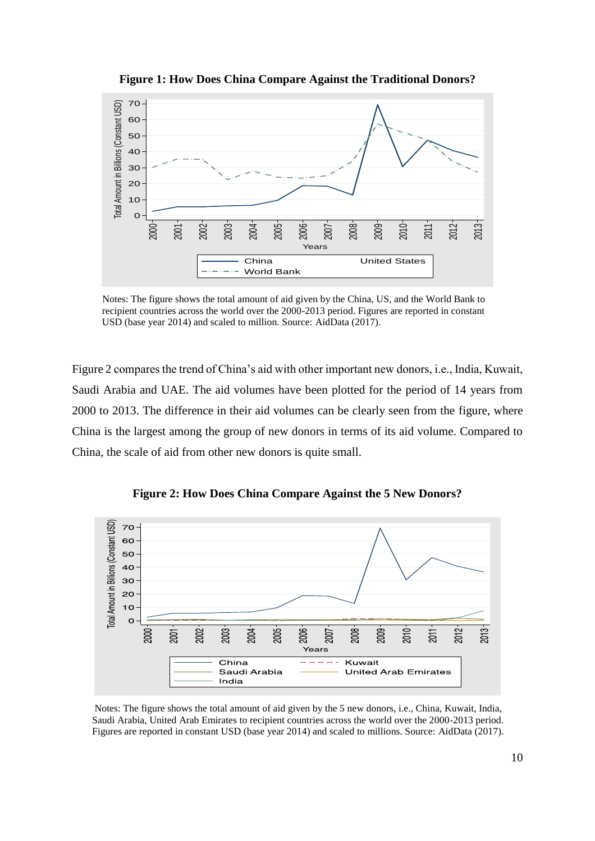

**Figure 1: How Does China Compare Against the Traditional Donors?**

 Notes: The figure shows the total amount of aid given by the China, US, and the World Bank to recipient countries across the world over the 2000-2013 period. Figures are reported in constant USD (base year 2014) and scaled to million. Source: AidData (2017).

Figure 2 compares the trend of China's aid with other important new donors, i.e., India, Kuwait, Saudi Arabia and UAE. The aid volumes have been plotted for the period of 14 years from 2000 to 2013. The difference in their aid volumes can be clearly seen from the figure, where China is the largest among the group of new donors in terms of its aid volume. Compared to China, the scale of aid from other new donors is quite small.



**Figure 2: How Does China Compare Against the 5 New Donors?**

Notes: The figure shows the total amount of aid given by the 5 new donors, i.e., China, Kuwait, India, Saudi Arabia, United Arab Emirates to recipient countries across the world over the 2000-2013 period. Figures are reported in constant USD (base year 2014) and scaled to millions. Source: AidData (2017).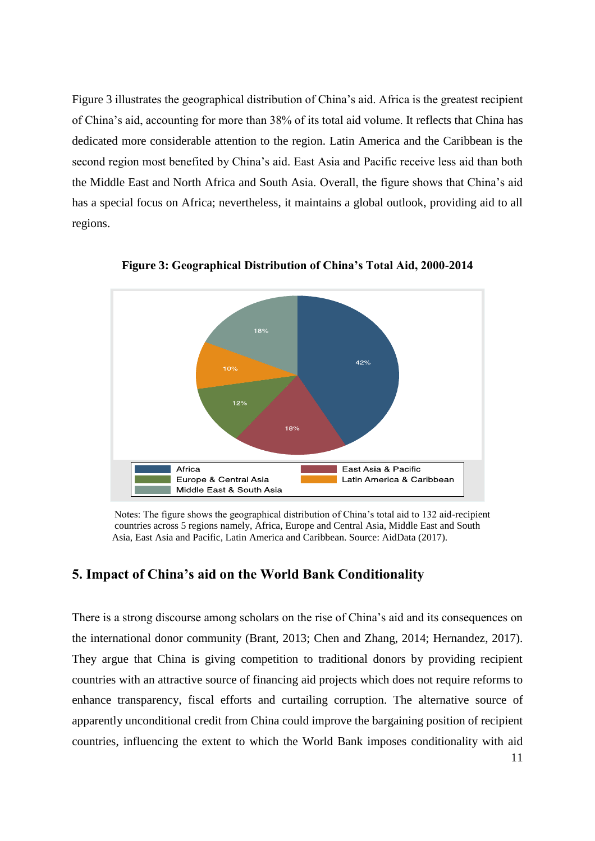Figure 3 illustrates the geographical distribution of China's aid. Africa is the greatest recipient of China's aid, accounting for more than 38% of its total aid volume. It reflects that China has dedicated more considerable attention to the region. Latin America and the Caribbean is the second region most benefited by China's aid. East Asia and Pacific receive less aid than both the Middle East and North Africa and South Asia. Overall, the figure shows that China's aid has a special focus on Africa; nevertheless, it maintains a global outlook, providing aid to all regions.



**Figure 3: Geographical Distribution of China's Total Aid, 2000-2014**

 Notes: The figure shows the geographical distribution of China's total aid to 132 aid-recipient countries across 5 regions namely, Africa, Europe and Central Asia, Middle East and South Asia, East Asia and Pacific, Latin America and Caribbean. Source: AidData (2017).

## **5. Impact of China's aid on the World Bank Conditionality**

There is a strong discourse among scholars on the rise of China's aid and its consequences on the international donor community (Brant, 2013; Chen and Zhang, 2014; Hernandez, 2017). They argue that China is giving competition to traditional donors by providing recipient countries with an attractive source of financing aid projects which does not require reforms to enhance transparency, fiscal efforts and curtailing corruption. The alternative source of apparently unconditional credit from China could improve the bargaining position of recipient countries, influencing the extent to which the World Bank imposes conditionality with aid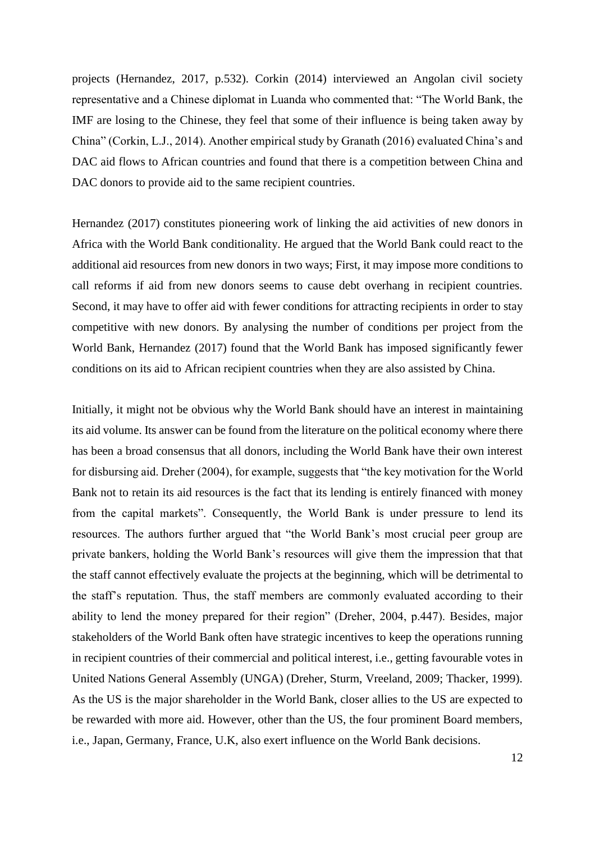projects (Hernandez, 2017, p.532). Corkin (2014) interviewed an Angolan civil society representative and a Chinese diplomat in Luanda who commented that: "The World Bank, the IMF are losing to the Chinese, they feel that some of their influence is being taken away by China" (Corkin, L.J., 2014). Another empirical study by Granath (2016) evaluated China's and DAC aid flows to African countries and found that there is a competition between China and DAC donors to provide aid to the same recipient countries.

Hernandez (2017) constitutes pioneering work of linking the aid activities of new donors in Africa with the World Bank conditionality. He argued that the World Bank could react to the additional aid resources from new donors in two ways; First, it may impose more conditions to call reforms if aid from new donors seems to cause debt overhang in recipient countries. Second, it may have to offer aid with fewer conditions for attracting recipients in order to stay competitive with new donors. By analysing the number of conditions per project from the World Bank, Hernandez (2017) found that the World Bank has imposed significantly fewer conditions on its aid to African recipient countries when they are also assisted by China.

Initially, it might not be obvious why the World Bank should have an interest in maintaining its aid volume. Its answer can be found from the literature on the political economy where there has been a broad consensus that all donors, including the World Bank have their own interest for disbursing aid. Dreher (2004), for example, suggests that "the key motivation for the World Bank not to retain its aid resources is the fact that its lending is entirely financed with money from the capital markets". Consequently, the World Bank is under pressure to lend its resources. The authors further argued that "the World Bank's most crucial peer group are private bankers, holding the World Bank's resources will give them the impression that that the staff cannot effectively evaluate the projects at the beginning, which will be detrimental to the staff's reputation. Thus, the staff members are commonly evaluated according to their ability to lend the money prepared for their region" (Dreher, 2004, p.447). Besides, major stakeholders of the World Bank often have strategic incentives to keep the operations running in recipient countries of their commercial and political interest, i.e., getting favourable votes in United Nations General Assembly (UNGA) (Dreher, Sturm, Vreeland, 2009; Thacker, 1999). As the US is the major shareholder in the World Bank, closer allies to the US are expected to be rewarded with more aid. However, other than the US, the four prominent Board members, i.e., Japan, Germany, France, U.K, also exert influence on the World Bank decisions.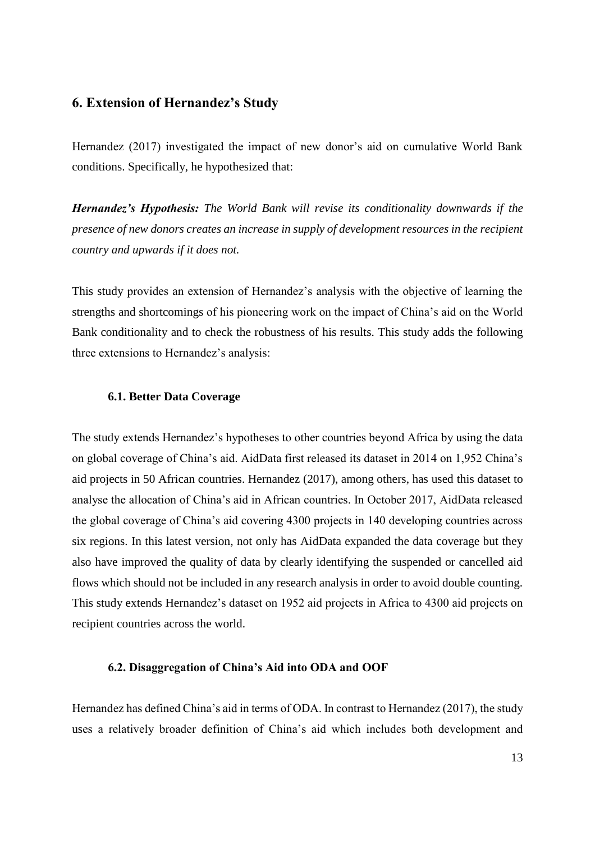## **6. Extension of Hernandez's Study**

Hernandez (2017) investigated the impact of new donor's aid on cumulative World Bank conditions. Specifically, he hypothesized that:

*Hernandez's Hypothesis: The World Bank will revise its conditionality downwards if the presence of new donors creates an increase in supply of development resources in the recipient country and upwards if it does not.*

This study provides an extension of Hernandez's analysis with the objective of learning the strengths and shortcomings of his pioneering work on the impact of China's aid on the World Bank conditionality and to check the robustness of his results. This study adds the following three extensions to Hernandez's analysis:

### **6.1. Better Data Coverage**

The study extends Hernandez's hypotheses to other countries beyond Africa by using the data on global coverage of China's aid. AidData first released its dataset in 2014 on 1,952 China's aid projects in 50 African countries. Hernandez (2017), among others, has used this dataset to analyse the allocation of China's aid in African countries. In October 2017, AidData released the global coverage of China's aid covering 4300 projects in 140 developing countries across six regions. In this latest version, not only has AidData expanded the data coverage but they also have improved the quality of data by clearly identifying the suspended or cancelled aid flows which should not be included in any research analysis in order to avoid double counting. This study extends Hernandez's dataset on 1952 aid projects in Africa to 4300 aid projects on recipient countries across the world.

### **6.2. Disaggregation of China's Aid into ODA and OOF**

Hernandez has defined China's aid in terms of ODA. In contrast to Hernandez (2017), the study uses a relatively broader definition of China's aid which includes both development and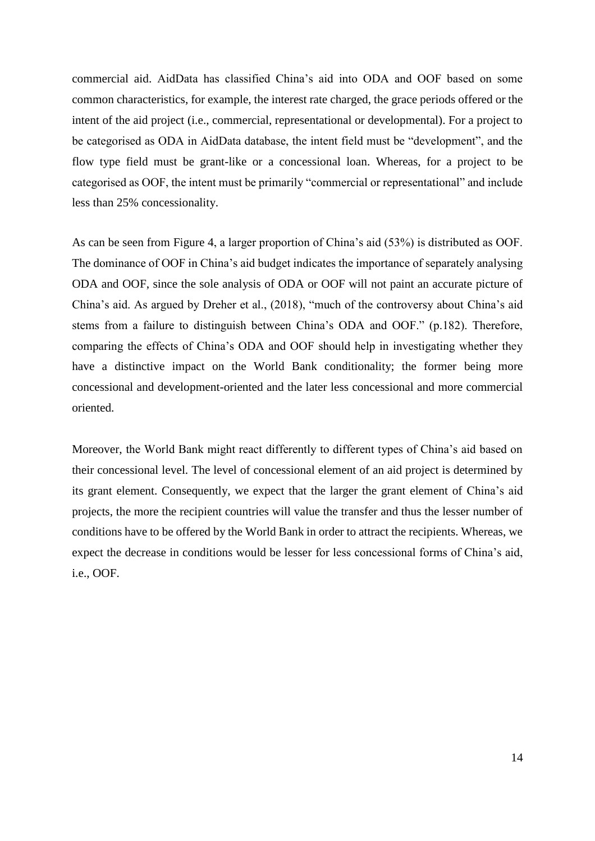commercial aid. AidData has classified China's aid into ODA and OOF based on some common characteristics, for example, the interest rate charged, the grace periods offered or the intent of the aid project (i.e., commercial, representational or developmental). For a project to be categorised as ODA in AidData database, the intent field must be "development", and the flow type field must be grant-like or a concessional loan. Whereas, for a project to be categorised as OOF, the intent must be primarily "commercial or representational" and include less than 25% concessionality.

As can be seen from Figure 4, a larger proportion of China's aid (53%) is distributed as OOF. The dominance of OOF in China's aid budget indicates the importance of separately analysing ODA and OOF, since the sole analysis of ODA or OOF will not paint an accurate picture of China's aid. As argued by Dreher et al., (2018), "much of the controversy about China's aid stems from a failure to distinguish between China's ODA and OOF." (p.182). Therefore, comparing the effects of China's ODA and OOF should help in investigating whether they have a distinctive impact on the World Bank conditionality; the former being more concessional and development-oriented and the later less concessional and more commercial oriented.

Moreover, the World Bank might react differently to different types of China's aid based on their concessional level. The level of concessional element of an aid project is determined by its grant element. Consequently, we expect that the larger the grant element of China's aid projects, the more the recipient countries will value the transfer and thus the lesser number of conditions have to be offered by the World Bank in order to attract the recipients. Whereas, we expect the decrease in conditions would be lesser for less concessional forms of China's aid, i.e., OOF.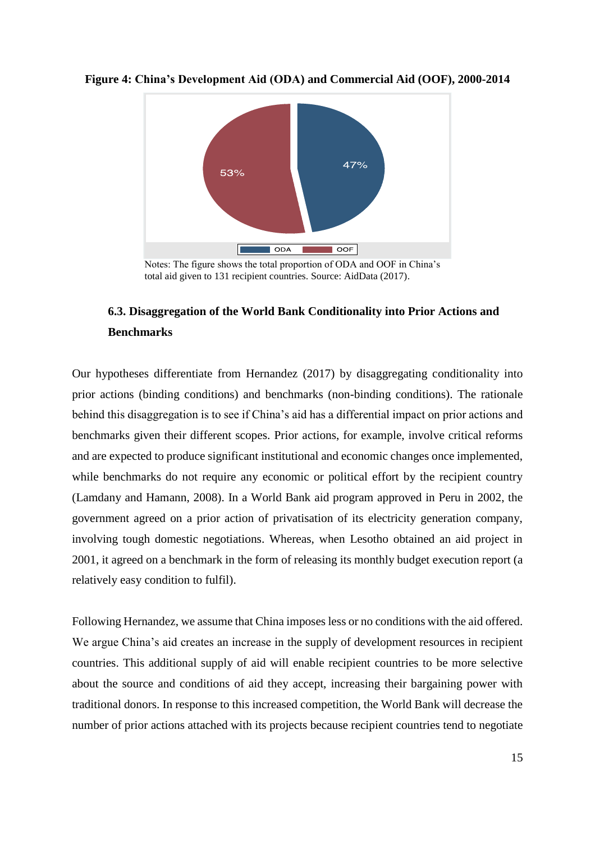

**Figure 4: China's Development Aid (ODA) and Commercial Aid (OOF), 2000-2014**

 Notes: The figure shows the total proportion of ODA and OOF in China's total aid given to 131 recipient countries. Source: AidData (2017).

## **6.3. Disaggregation of the World Bank Conditionality into Prior Actions and Benchmarks**

Our hypotheses differentiate from Hernandez (2017) by disaggregating conditionality into prior actions (binding conditions) and benchmarks (non-binding conditions). The rationale behind this disaggregation is to see if China's aid has a differential impact on prior actions and benchmarks given their different scopes. Prior actions, for example, involve critical reforms and are expected to produce significant institutional and economic changes once implemented, while benchmarks do not require any economic or political effort by the recipient country (Lamdany and Hamann, 2008). In a World Bank aid program approved in Peru in 2002, the government agreed on a prior action of privatisation of its electricity generation company, involving tough domestic negotiations. Whereas, when Lesotho obtained an aid project in 2001, it agreed on a benchmark in the form of releasing its monthly budget execution report (a relatively easy condition to fulfil).

Following Hernandez, we assume that China imposes less or no conditions with the aid offered. We argue China's aid creates an increase in the supply of development resources in recipient countries. This additional supply of aid will enable recipient countries to be more selective about the source and conditions of aid they accept, increasing their bargaining power with traditional donors. In response to this increased competition, the World Bank will decrease the number of prior actions attached with its projects because recipient countries tend to negotiate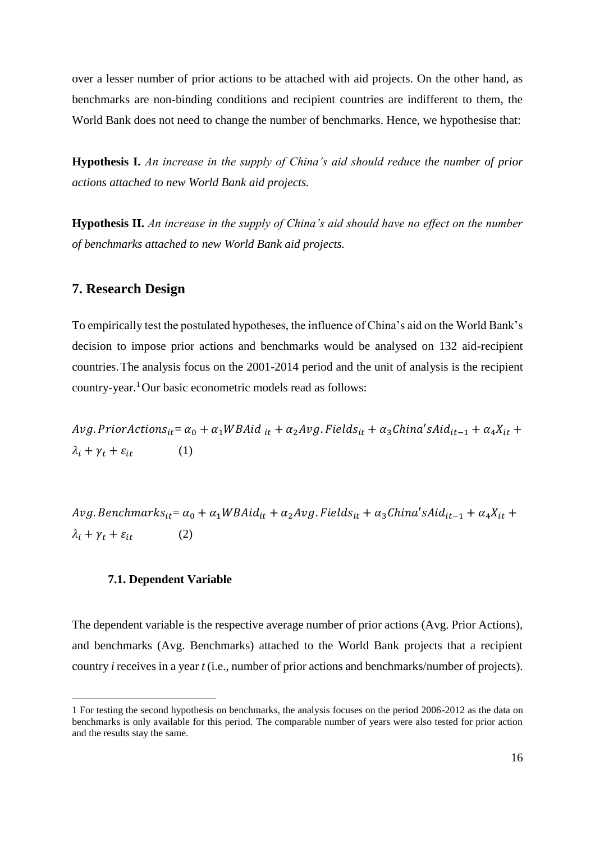over a lesser number of prior actions to be attached with aid projects. On the other hand, as benchmarks are non-binding conditions and recipient countries are indifferent to them, the World Bank does not need to change the number of benchmarks. Hence, we hypothesise that:

**Hypothesis I.** *An increase in the supply of China's aid should reduce the number of prior actions attached to new World Bank aid projects.*

**Hypothesis II.** *An increase in the supply of China's aid should have no effect on the number of benchmarks attached to new World Bank aid projects.*

## **7. Research Design**

To empirically test the postulated hypotheses, the influence of China's aid on the World Bank's decision to impose prior actions and benchmarks would be analysed on 132 aid-recipient countries.The analysis focus on the 2001-2014 period and the unit of analysis is the recipient country-year.<sup>1</sup>Our basic econometric models read as follows:

 $Avg.Prior Actions_{it} = \alpha_0 + \alpha_1 WBAid_{it} + \alpha_2 Avg.Pields_{it} + \alpha_3China'SAid_{it-1} + \alpha_4 X_{it} +$  $\lambda_i + \gamma_t + \varepsilon_{it}$  (1)

 $Avg.Bench marks_{it} = \alpha_0 + \alpha_1 WBAid_{it} + \alpha_2 Avg.Fields_{it} + \alpha_3 China'SAid_{it-1} + \alpha_4 X_{it} +$  $\lambda_i + \gamma_t + \varepsilon_{it}$  (2)

### **7.1. Dependent Variable**

 $\overline{a}$ 

The dependent variable is the respective average number of prior actions (Avg. Prior Actions), and benchmarks (Avg. Benchmarks) attached to the World Bank projects that a recipient country *i* receives in a year *t* (i.e., number of prior actions and benchmarks/number of projects).

<sup>1</sup> For testing the second hypothesis on benchmarks, the analysis focuses on the period 2006-2012 as the data on benchmarks is only available for this period. The comparable number of years were also tested for prior action and the results stay the same.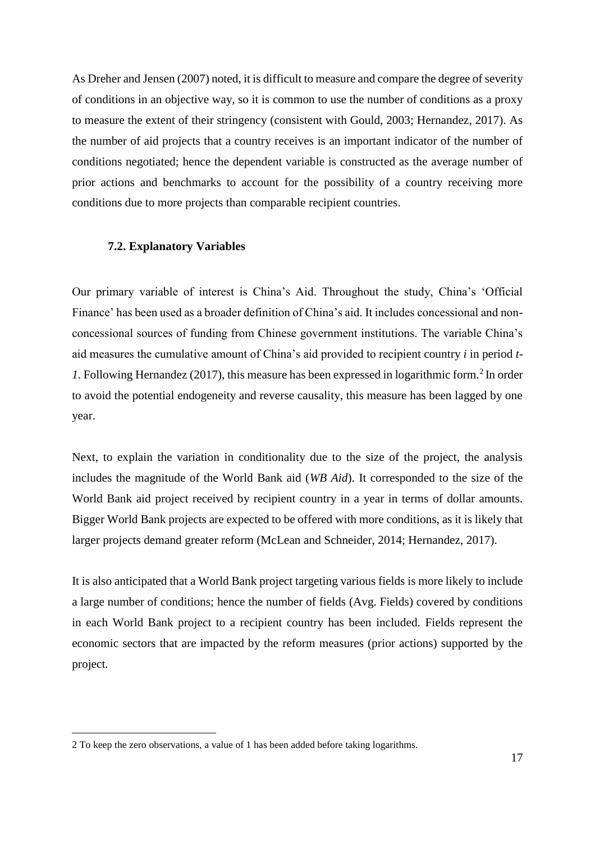As Dreher and Jensen (2007) noted, it is difficult to measure and compare the degree of severity of conditions in an objective way, so it is common to use the number of conditions as a proxy to measure the extent of their stringency (consistent with Gould, 2003; Hernandez, 2017). As the number of aid projects that a country receives is an important indicator of the number of conditions negotiated; hence the dependent variable is constructed as the average number of prior actions and benchmarks to account for the possibility of a country receiving more conditions due to more projects than comparable recipient countries.

### **7.2. Explanatory Variables**

Our primary variable of interest is China's Aid. Throughout the study, China's 'Official Finance' has been used as a broader definition of China's aid. It includes concessional and nonconcessional sources of funding from Chinese government institutions. The variable China's aid measures the cumulative amount of China's aid provided to recipient country *i* in period *t-*1. Following Hernandez (2017), this measure has been expressed in logarithmic form.<sup>2</sup> In order to avoid the potential endogeneity and reverse causality, this measure has been lagged by one year.

Next, to explain the variation in conditionality due to the size of the project, the analysis includes the magnitude of the World Bank aid (*WB Aid*). It corresponded to the size of the World Bank aid project received by recipient country in a year in terms of dollar amounts. Bigger World Bank projects are expected to be offered with more conditions, as it is likely that larger projects demand greater reform (McLean and Schneider, 2014; Hernandez, 2017).

It is also anticipated that a World Bank project targeting various fields is more likely to include a large number of conditions; hence the number of fields (Avg. Fields) covered by conditions in each World Bank project to a recipient country has been included. Fields represent the economic sectors that are impacted by the reform measures (prior actions) supported by the project.

 $\overline{a}$ 

<sup>2</sup> To keep the zero observations, a value of 1 has been added before taking logarithms.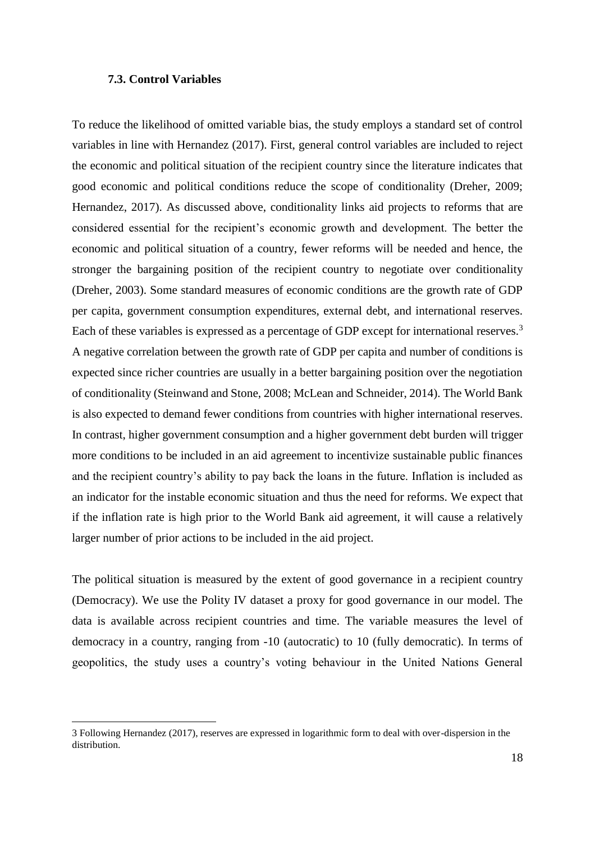### **7.3. Control Variables**

 $\overline{a}$ 

To reduce the likelihood of omitted variable bias, the study employs a standard set of control variables in line with Hernandez (2017). First, general control variables are included to reject the economic and political situation of the recipient country since the literature indicates that good economic and political conditions reduce the scope of conditionality (Dreher, 2009; Hernandez, 2017). As discussed above, conditionality links aid projects to reforms that are considered essential for the recipient's economic growth and development. The better the economic and political situation of a country, fewer reforms will be needed and hence, the stronger the bargaining position of the recipient country to negotiate over conditionality (Dreher, 2003). Some standard measures of economic conditions are the growth rate of GDP per capita, government consumption expenditures, external debt, and international reserves. Each of these variables is expressed as a percentage of GDP except for international reserves.<sup>3</sup> A negative correlation between the growth rate of GDP per capita and number of conditions is expected since richer countries are usually in a better bargaining position over the negotiation of conditionality (Steinwand and Stone, 2008; McLean and Schneider, 2014). The World Bank is also expected to demand fewer conditions from countries with higher international reserves. In contrast, higher government consumption and a higher government debt burden will trigger more conditions to be included in an aid agreement to incentivize sustainable public finances and the recipient country's ability to pay back the loans in the future. Inflation is included as an indicator for the instable economic situation and thus the need for reforms. We expect that if the inflation rate is high prior to the World Bank aid agreement, it will cause a relatively larger number of prior actions to be included in the aid project.

The political situation is measured by the extent of good governance in a recipient country (Democracy). We use the Polity IV dataset a proxy for good governance in our model. The data is available across recipient countries and time. The variable measures the level of democracy in a country, ranging from -10 (autocratic) to 10 (fully democratic). In terms of geopolitics, the study uses a country's voting behaviour in the United Nations General

<sup>3</sup> Following Hernandez (2017), reserves are expressed in logarithmic form to deal with over-dispersion in the distribution.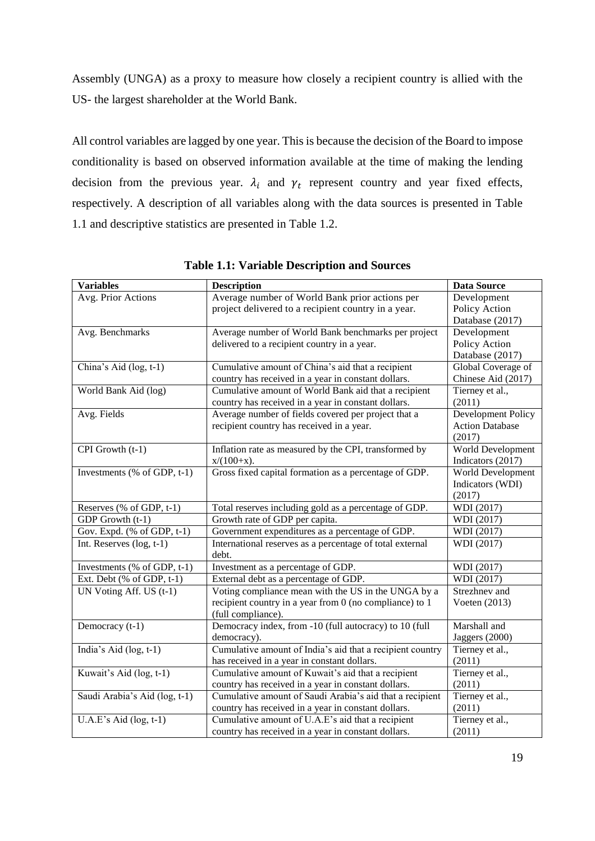Assembly (UNGA) as a proxy to measure how closely a recipient country is allied with the US- the largest shareholder at the World Bank.

All control variables are lagged by one year. This is because the decision of the Board to impose conditionality is based on observed information available at the time of making the lending decision from the previous year.  $\lambda_i$  and  $\gamma_t$  represent country and year fixed effects, respectively. A description of all variables along with the data sources is presented in Table 1.1 and descriptive statistics are presented in Table 1.2.

| <b>Variables</b>              | <b>Description</b>                                        | <b>Data Source</b>       |
|-------------------------------|-----------------------------------------------------------|--------------------------|
| Avg. Prior Actions            | Average number of World Bank prior actions per            | Development              |
|                               | project delivered to a recipient country in a year.       | Policy Action            |
|                               |                                                           | Database (2017)          |
| Avg. Benchmarks               | Average number of World Bank benchmarks per project       | Development              |
|                               | delivered to a recipient country in a year.               | Policy Action            |
|                               |                                                           | Database (2017)          |
| China's Aid (log, t-1)        | Cumulative amount of China's aid that a recipient         | Global Coverage of       |
|                               | country has received in a year in constant dollars.       | Chinese Aid (2017)       |
| World Bank Aid (log)          | Cumulative amount of World Bank aid that a recipient      | Tierney et al.,          |
|                               | country has received in a year in constant dollars.       | (2011)                   |
| Avg. Fields                   | Average number of fields covered per project that a       | Development Policy       |
|                               | recipient country has received in a year.                 | <b>Action Database</b>   |
|                               |                                                           | (2017)                   |
| CPI Growth (t-1)              | Inflation rate as measured by the CPI, transformed by     | <b>World Development</b> |
|                               | $x/(100+x)$ .                                             | Indicators (2017)        |
| Investments (% of GDP, t-1)   | Gross fixed capital formation as a percentage of GDP.     | World Development        |
|                               |                                                           | Indicators (WDI)         |
|                               |                                                           | (2017)                   |
| Reserves (% of GDP, t-1)      | Total reserves including gold as a percentage of GDP.     | WDI (2017)               |
| GDP Growth (t-1)              | Growth rate of GDP per capita.                            | WDI (2017)               |
| Gov. Expd. (% of GDP, t-1)    | Government expenditures as a percentage of GDP.           | WDI (2017)               |
| Int. Reserves $(log, t-1)$    | International reserves as a percentage of total external  | WDI (2017)               |
|                               | debt.                                                     |                          |
| Investments (% of GDP, t-1)   | Investment as a percentage of GDP.                        | WDI (2017)               |
| Ext. Debt (% of GDP, t-1)     | External debt as a percentage of GDP.                     | WDI (2017)               |
| UN Voting Aff. US (t-1)       | Voting compliance mean with the US in the UNGA by a       | Strezhnev and            |
|                               | recipient country in a year from 0 (no compliance) to 1   | Voeten $(2013)$          |
|                               | (full compliance).                                        |                          |
| Democracy (t-1)               | Democracy index, from -10 (full autocracy) to 10 (full    | Marshall and             |
|                               | democracy).                                               | Jaggers (2000)           |
| India's Aid (log, t-1)        | Cumulative amount of India's aid that a recipient country | Tierney et al.,          |
|                               | has received in a year in constant dollars.               | (2011)                   |
| Kuwait's Aid (log, t-1)       | Cumulative amount of Kuwait's aid that a recipient        | Tierney et al.,          |
|                               | country has received in a year in constant dollars.       | (2011)                   |
| Saudi Arabia's Aid (log, t-1) | Cumulative amount of Saudi Arabia's aid that a recipient  | Tierney et al.,          |
|                               | country has received in a year in constant dollars.       | (2011)                   |
| $U.A.E's Aid(log, t-1)$       | Cumulative amount of U.A.E's aid that a recipient         | Tierney et al.,          |
|                               | country has received in a year in constant dollars.       | (2011)                   |

**Table 1.1: Variable Description and Sources**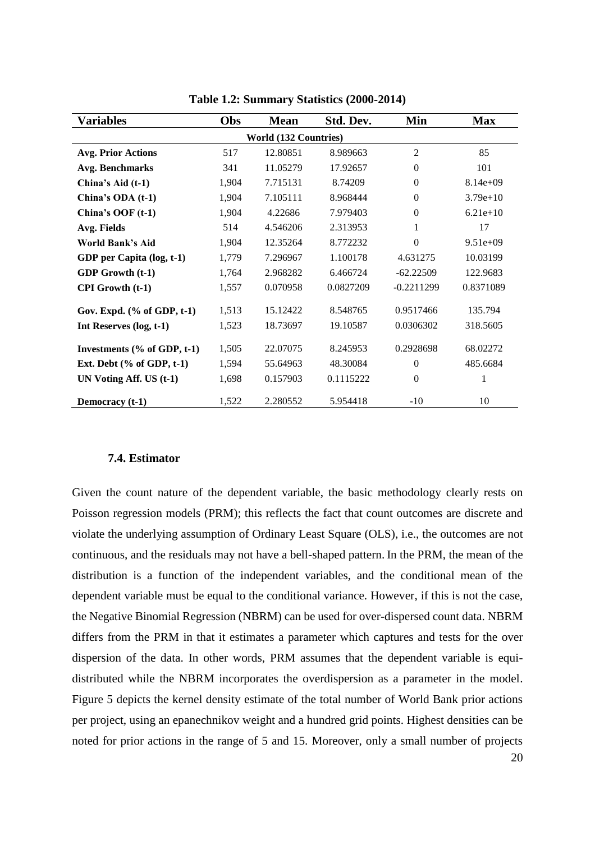| <b>Variables</b>                | Obs   | <b>Mean</b> | Std. Dev. | Min            | <b>Max</b> |  |  |  |
|---------------------------------|-------|-------------|-----------|----------------|------------|--|--|--|
| <b>World (132 Countries)</b>    |       |             |           |                |            |  |  |  |
| <b>Avg. Prior Actions</b>       | 517   | 12.80851    | 8.989663  | $\overline{2}$ | 85         |  |  |  |
| <b>Avg. Benchmarks</b>          | 341   | 11.05279    | 17.92657  | $\Omega$       | 101        |  |  |  |
| China's Aid (t-1)               | 1,904 | 7.715131    | 8.74209   | $\Omega$       | $8.14e+09$ |  |  |  |
| China's ODA (t-1)               | 1,904 | 7.105111    | 8.968444  | $\overline{0}$ | $3.79e+10$ |  |  |  |
| China's OOF $(t-1)$             | 1,904 | 4.22686     | 7.979403  | $\Omega$       | $6.21e+10$ |  |  |  |
| Avg. Fields                     | 514   | 4.546206    | 2.313953  | $\mathbf{1}$   | 17         |  |  |  |
| World Bank's Aid                | 1,904 | 12.35264    | 8.772232  | $\theta$       | $9.51e+09$ |  |  |  |
| GDP per Capita (log, t-1)       | 1,779 | 7.296967    | 1.100178  | 4.631275       | 10.03199   |  |  |  |
| GDP Growth (t-1)                | 1,764 | 2.968282    | 6.466724  | $-62.22509$    | 122.9683   |  |  |  |
| CPI Growth (t-1)                | 1,557 | 0.070958    | 0.0827209 | $-0.2211299$   | 0.8371089  |  |  |  |
| Gov. Expd. $(\%$ of GDP, $t-1)$ | 1,513 | 15.12422    | 8.548765  | 0.9517466      | 135.794    |  |  |  |
| Int Reserves (log, t-1)         | 1,523 | 18.73697    | 19.10587  | 0.0306302      | 318.5605   |  |  |  |
| Investments (% of GDP, t-1)     | 1,505 | 22.07075    | 8.245953  | 0.2928698      | 68.02272   |  |  |  |
| Ext. Debt $(\%$ of GDP, t-1)    | 1,594 | 55.64963    | 48.30084  | $\Omega$       | 485.6684   |  |  |  |
| UN Voting Aff. US (t-1)         | 1,698 | 0.157903    | 0.1115222 | $\Omega$       | 1          |  |  |  |
| Democracy (t-1)                 | 1,522 | 2.280552    | 5.954418  | $-10$          | 10         |  |  |  |

**Table 1.2: Summary Statistics (2000-2014)**

### **7.4. Estimator**

Given the count nature of the dependent variable, the basic methodology clearly rests on Poisson regression models (PRM); this reflects the fact that count outcomes are discrete and violate the underlying assumption of Ordinary Least Square (OLS), i.e., the outcomes are not continuous, and the residuals may not have a bell-shaped pattern. In the PRM, the mean of the distribution is a function of the independent variables, and the conditional mean of the dependent variable must be equal to the conditional variance. However, if this is not the case, the Negative Binomial Regression (NBRM) can be used for over-dispersed count data. NBRM differs from the PRM in that it estimates a parameter which captures and tests for the over dispersion of the data. In other words, PRM assumes that the dependent variable is equidistributed while the NBRM incorporates the overdispersion as a parameter in the model. Figure 5 depicts the kernel density estimate of the total number of World Bank prior actions per project, using an epanechnikov weight and a hundred grid points. Highest densities can be noted for prior actions in the range of 5 and 15. Moreover, only a small number of projects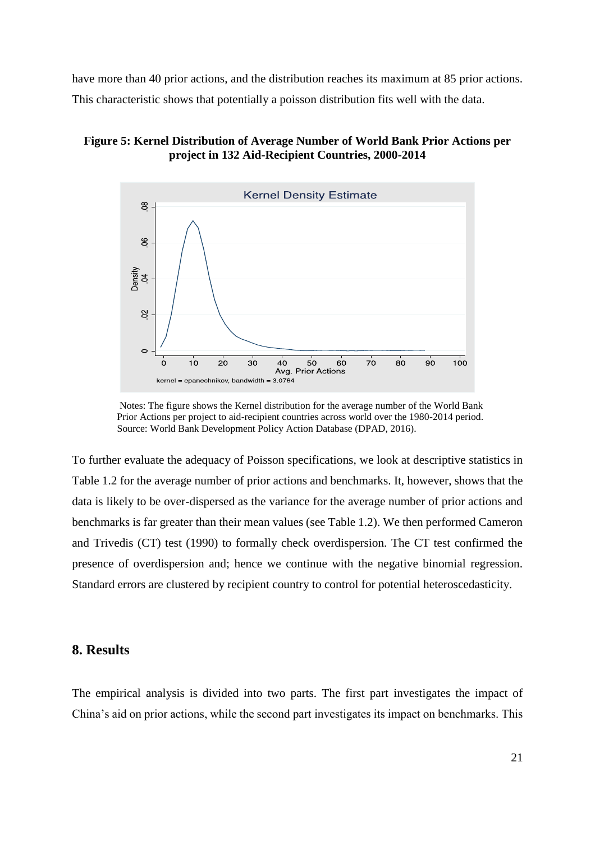have more than 40 prior actions, and the distribution reaches its maximum at 85 prior actions. This characteristic shows that potentially a poisson distribution fits well with the data.

## **Figure 5: Kernel Distribution of Average Number of World Bank Prior Actions per project in 132 Aid-Recipient Countries, 2000-2014**



 Notes: The figure shows the Kernel distribution for the average number of the World Bank Prior Actions per project to aid-recipient countries across world over the 1980-2014 period. Source: World Bank Development Policy Action Database (DPAD, 2016).

To further evaluate the adequacy of Poisson specifications, we look at descriptive statistics in Table 1.2 for the average number of prior actions and benchmarks. It, however, shows that the data is likely to be over-dispersed as the variance for the average number of prior actions and benchmarks is far greater than their mean values (see Table 1.2). We then performed Cameron and Trivedis (CT) test (1990) to formally check overdispersion. The CT test confirmed the presence of overdispersion and; hence we continue with the negative binomial regression. Standard errors are clustered by recipient country to control for potential heteroscedasticity.

## **8. Results**

The empirical analysis is divided into two parts. The first part investigates the impact of China's aid on prior actions, while the second part investigates its impact on benchmarks. This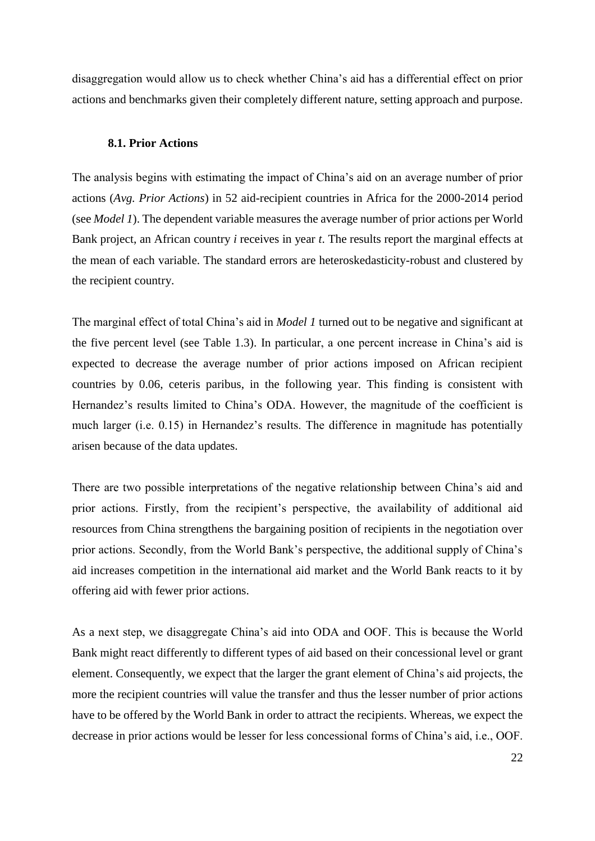disaggregation would allow us to check whether China's aid has a differential effect on prior actions and benchmarks given their completely different nature, setting approach and purpose.

### **8.1. Prior Actions**

The analysis begins with estimating the impact of China's aid on an average number of prior actions (*Avg. Prior Actions*) in 52 aid-recipient countries in Africa for the 2000-2014 period (see *Model 1*). The dependent variable measures the average number of prior actions per World Bank project, an African country *i* receives in year *t*. The results report the marginal effects at the mean of each variable. The standard errors are heteroskedasticity-robust and clustered by the recipient country.

The marginal effect of total China's aid in *Model 1* turned out to be negative and significant at the five percent level (see Table 1.3). In particular, a one percent increase in China's aid is expected to decrease the average number of prior actions imposed on African recipient countries by 0.06, ceteris paribus, in the following year. This finding is consistent with Hernandez's results limited to China's ODA. However, the magnitude of the coefficient is much larger (i.e. 0.15) in Hernandez's results. The difference in magnitude has potentially arisen because of the data updates.

There are two possible interpretations of the negative relationship between China's aid and prior actions. Firstly, from the recipient's perspective, the availability of additional aid resources from China strengthens the bargaining position of recipients in the negotiation over prior actions. Secondly, from the World Bank's perspective, the additional supply of China's aid increases competition in the international aid market and the World Bank reacts to it by offering aid with fewer prior actions.

As a next step, we disaggregate China's aid into ODA and OOF. This is because the World Bank might react differently to different types of aid based on their concessional level or grant element. Consequently, we expect that the larger the grant element of China's aid projects, the more the recipient countries will value the transfer and thus the lesser number of prior actions have to be offered by the World Bank in order to attract the recipients. Whereas, we expect the decrease in prior actions would be lesser for less concessional forms of China's aid, i.e., OOF.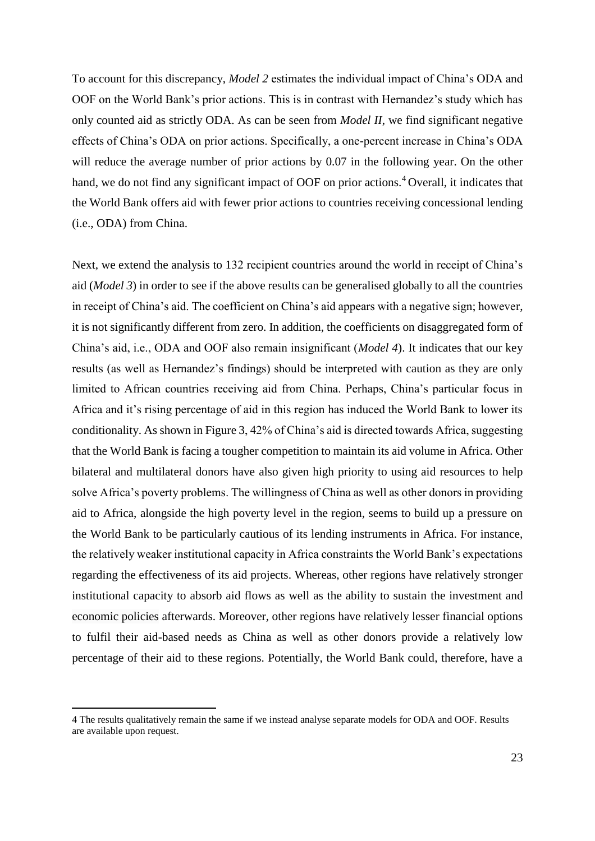To account for this discrepancy, *Model 2* estimates the individual impact of China's ODA and OOF on the World Bank's prior actions. This is in contrast with Hernandez's study which has only counted aid as strictly ODA. As can be seen from *Model II*, we find significant negative effects of China's ODA on prior actions. Specifically, a one-percent increase in China's ODA will reduce the average number of prior actions by 0.07 in the following year. On the other hand, we do not find any significant impact of OOF on prior actions.<sup>4</sup> Overall, it indicates that the World Bank offers aid with fewer prior actions to countries receiving concessional lending (i.e., ODA) from China.

Next, we extend the analysis to 132 recipient countries around the world in receipt of China's aid (*Model 3*) in order to see if the above results can be generalised globally to all the countries in receipt of China's aid. The coefficient on China's aid appears with a negative sign; however, it is not significantly different from zero. In addition, the coefficients on disaggregated form of China's aid, i.e., ODA and OOF also remain insignificant (*Model 4*). It indicates that our key results (as well as Hernandez's findings) should be interpreted with caution as they are only limited to African countries receiving aid from China. Perhaps, China's particular focus in Africa and it's rising percentage of aid in this region has induced the World Bank to lower its conditionality. As shown in Figure 3, 42% of China's aid is directed towards Africa, suggesting that the World Bank is facing a tougher competition to maintain its aid volume in Africa. Other bilateral and multilateral donors have also given high priority to using aid resources to help solve Africa's poverty problems. The willingness of China as well as other donors in providing aid to Africa, alongside the high poverty level in the region, seems to build up a pressure on the World Bank to be particularly cautious of its lending instruments in Africa. For instance, the relatively weaker institutional capacity in Africa constraints the World Bank's expectations regarding the effectiveness of its aid projects. Whereas, other regions have relatively stronger institutional capacity to absorb aid flows as well as the ability to sustain the investment and economic policies afterwards. Moreover, other regions have relatively lesser financial options to fulfil their aid-based needs as China as well as other donors provide a relatively low percentage of their aid to these regions. Potentially, the World Bank could, therefore, have a

 $\overline{a}$ 

<sup>4</sup> The results qualitatively remain the same if we instead analyse separate models for ODA and OOF. Results are available upon request.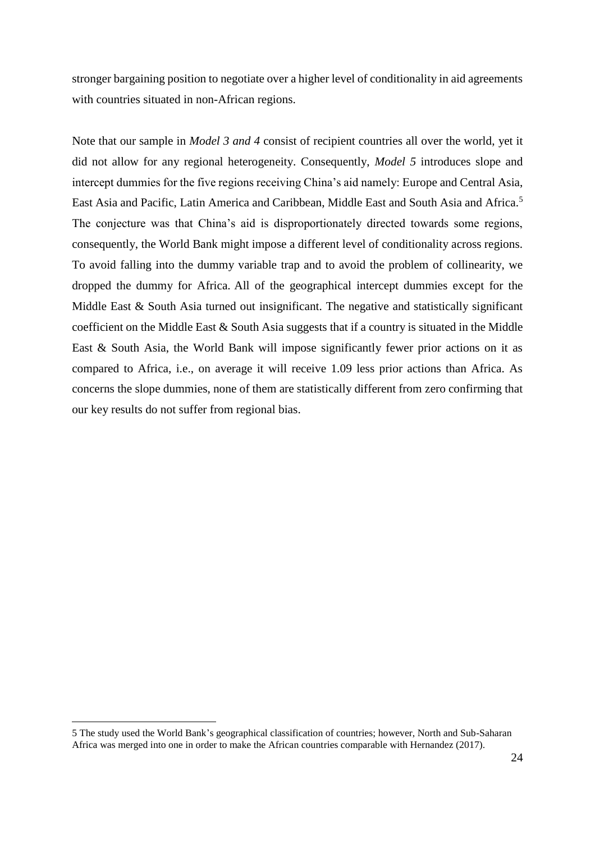stronger bargaining position to negotiate over a higher level of conditionality in aid agreements with countries situated in non-African regions.

Note that our sample in *Model 3 and 4* consist of recipient countries all over the world, yet it did not allow for any regional heterogeneity. Consequently, *Model 5* introduces slope and intercept dummies for the five regions receiving China's aid namely: Europe and Central Asia, East Asia and Pacific, Latin America and Caribbean, Middle East and South Asia and Africa.<sup>5</sup> The conjecture was that China's aid is disproportionately directed towards some regions, consequently, the World Bank might impose a different level of conditionality across regions. To avoid falling into the dummy variable trap and to avoid the problem of collinearity, we dropped the dummy for Africa. All of the geographical intercept dummies except for the Middle East & South Asia turned out insignificant. The negative and statistically significant coefficient on the Middle East & South Asia suggests that if a country is situated in the Middle East & South Asia, the World Bank will impose significantly fewer prior actions on it as compared to Africa, i.e., on average it will receive 1.09 less prior actions than Africa. As concerns the slope dummies, none of them are statistically different from zero confirming that our key results do not suffer from regional bias.

 $\overline{a}$ 

<sup>5</sup> The study used the World Bank's geographical classification of countries; however, North and Sub-Saharan Africa was merged into one in order to make the African countries comparable with Hernandez (2017).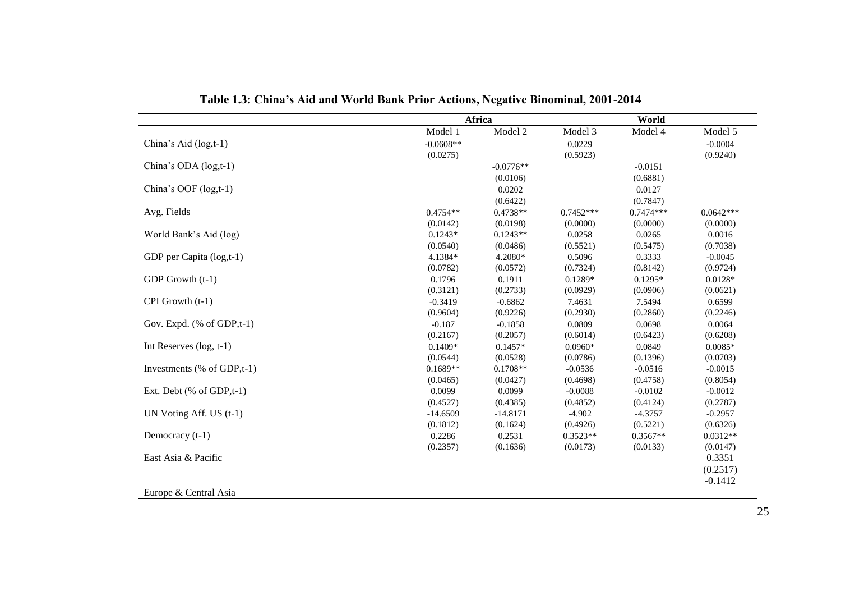|                                                 | Africa      |             | World       |             |             |
|-------------------------------------------------|-------------|-------------|-------------|-------------|-------------|
|                                                 | Model 1     | Model 2     | Model 3     | Model 4     | Model 5     |
| China's Aid (log,t-1)                           | $-0.0608**$ |             | 0.0229      |             | $-0.0004$   |
|                                                 | (0.0275)    |             | (0.5923)    |             | (0.9240)    |
| China's ODA (log,t-1)                           |             | $-0.0776**$ |             | $-0.0151$   |             |
|                                                 |             | (0.0106)    |             | (0.6881)    |             |
| China's OOF (log,t-1)                           |             | 0.0202      |             | 0.0127      |             |
|                                                 |             | (0.6422)    |             | (0.7847)    |             |
| Avg. Fields                                     | $0.4754**$  | $0.4738**$  | $0.7452***$ | $0.7474***$ | $0.0642***$ |
|                                                 | (0.0142)    | (0.0198)    | (0.0000)    | (0.0000)    | (0.0000)    |
| World Bank's Aid (log)                          | $0.1243*$   | $0.1243**$  | 0.0258      | 0.0265      | 0.0016      |
|                                                 | (0.0540)    | (0.0486)    | (0.5521)    | (0.5475)    | (0.7038)    |
| GDP per Capita (log,t-1)                        | 4.1384*     | 4.2080*     | 0.5096      | 0.3333      | $-0.0045$   |
|                                                 | (0.0782)    | (0.0572)    | (0.7324)    | (0.8142)    | (0.9724)    |
| GDP Growth (t-1)                                | 0.1796      | 0.1911      | $0.1289*$   | $0.1295*$   | $0.0128*$   |
|                                                 | (0.3121)    | (0.2733)    | (0.0929)    | (0.0906)    | (0.0621)    |
| CPI Growth (t-1)                                | $-0.3419$   | $-0.6862$   | 7.4631      | 7.5494      | 0.6599      |
|                                                 | (0.9604)    | (0.9226)    | (0.2930)    | (0.2860)    | (0.2246)    |
| Gov. Expd. $(% \mathcal{L}_{0})$ (% of GDP,t-1) | $-0.187$    | $-0.1858$   | 0.0809      | 0.0698      | 0.0064      |
|                                                 | (0.2167)    | (0.2057)    | (0.6014)    | (0.6423)    | (0.6208)    |
| Int Reserves $(log, t-1)$                       | $0.1409*$   | $0.1457*$   | $0.0960*$   | 0.0849      | $0.0085*$   |
|                                                 | (0.0544)    | (0.0528)    | (0.0786)    | (0.1396)    | (0.0703)    |
| Investments (% of GDP,t-1)                      | $0.1689**$  | $0.1708**$  | $-0.0536$   | $-0.0516$   | $-0.0015$   |
|                                                 | (0.0465)    | (0.0427)    | (0.4698)    | (0.4758)    | (0.8054)    |
| Ext. Debt (% of GDP,t-1)                        | 0.0099      | 0.0099      | $-0.0088$   | $-0.0102$   | $-0.0012$   |
|                                                 | (0.4527)    | (0.4385)    | (0.4852)    | (0.4124)    | (0.2787)    |
| UN Voting Aff. US $(t-1)$                       | $-14.6509$  | $-14.8171$  | $-4.902$    | $-4.3757$   | $-0.2957$   |
|                                                 | (0.1812)    | (0.1624)    | (0.4926)    | (0.5221)    | (0.6326)    |
| Democracy (t-1)                                 | 0.2286      | 0.2531      | $0.3523**$  | $0.3567**$  | $0.0312**$  |
|                                                 | (0.2357)    | (0.1636)    | (0.0173)    | (0.0133)    | (0.0147)    |
| East Asia & Pacific                             |             |             |             |             | 0.3351      |
|                                                 |             |             |             |             | (0.2517)    |
|                                                 |             |             |             |             | $-0.1412$   |
| Europe & Central Asia                           |             |             |             |             |             |

**Table 1.3: China's Aid and World Bank Prior Actions, Negative Binominal, 2001-2014**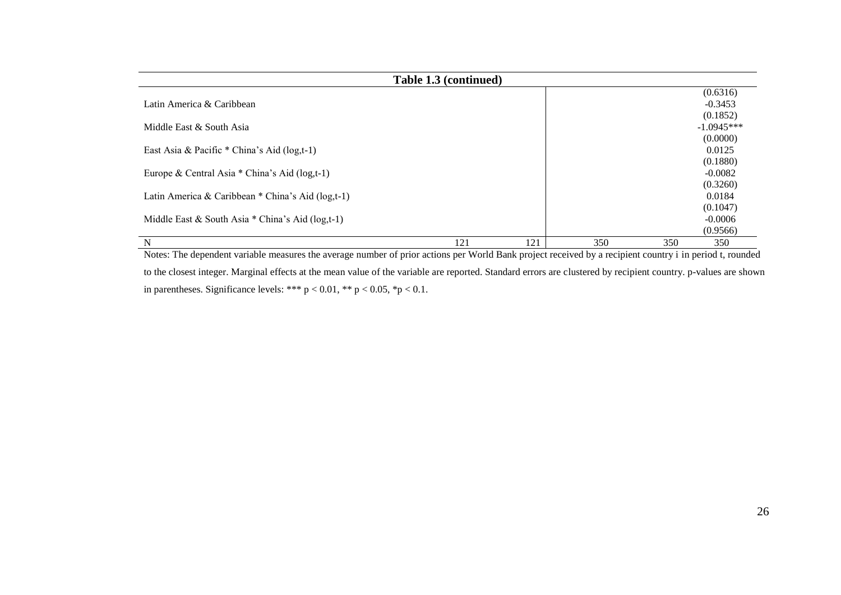| Table 1.3 (continued)                                                                                                                                                                                        |     |                                                                    |                                                           |            |                                |
|--------------------------------------------------------------------------------------------------------------------------------------------------------------------------------------------------------------|-----|--------------------------------------------------------------------|-----------------------------------------------------------|------------|--------------------------------|
|                                                                                                                                                                                                              |     |                                                                    |                                                           |            | (0.6316)                       |
| Latin America & Caribbean                                                                                                                                                                                    |     |                                                                    |                                                           |            | $-0.3453$                      |
|                                                                                                                                                                                                              |     |                                                                    |                                                           |            | (0.1852)                       |
| Middle East & South Asia                                                                                                                                                                                     |     |                                                                    |                                                           |            | $-1.0945***$                   |
|                                                                                                                                                                                                              |     |                                                                    |                                                           |            | (0.0000)                       |
| East Asia & Pacific * China's Aid (log,t-1)                                                                                                                                                                  |     |                                                                    |                                                           |            | 0.0125                         |
|                                                                                                                                                                                                              |     |                                                                    |                                                           |            | (0.1880)                       |
| Europe & Central Asia * China's Aid (log,t-1)                                                                                                                                                                |     |                                                                    |                                                           |            | $-0.0082$                      |
|                                                                                                                                                                                                              |     |                                                                    |                                                           |            | (0.3260)                       |
| Latin America & Caribbean * China's Aid (log,t-1)                                                                                                                                                            |     |                                                                    |                                                           |            | 0.0184                         |
|                                                                                                                                                                                                              |     |                                                                    |                                                           |            | (0.1047)                       |
| Middle East & South Asia $*$ China's Aid (log,t-1)                                                                                                                                                           |     |                                                                    |                                                           |            | $-0.0006$                      |
|                                                                                                                                                                                                              |     |                                                                    |                                                           |            | (0.9566)                       |
| N<br>.<br>$\sim$ $\sim$ $\sim$ $\sim$<br>$\mathbf{v}$<br>$\mathbf{r}$ and $\mathbf{r}$ and $\mathbf{r}$ and $\mathbf{r}$ and $\mathbf{r}$ and $\mathbf{r}$ and $\mathbf{r}$ and $\mathbf{r}$<br>$\sim$ 4 $-$ | 121 | 121<br>$\mathbf{v} \cdot \mathbf{v} = \mathbf{v} \cdot \mathbf{v}$ | 350<br>$\cdot$ $\cdot$<br>$\cdot$ $\cdot$ $\cdot$ $\cdot$ | 350<br>. . | 350<br>$\cdot$ $\cdot$ $\cdot$ |

Notes: The dependent variable measures the average number of prior actions per World Bank project received by a recipient country i in period t, rounded to the closest integer. Marginal effects at the mean value of the variable are reported. Standard errors are clustered by recipient country. p-values are shown in parentheses. Significance levels: \*\*\*  $p < 0.01$ , \*\*  $p < 0.05$ , \* $p < 0.1$ .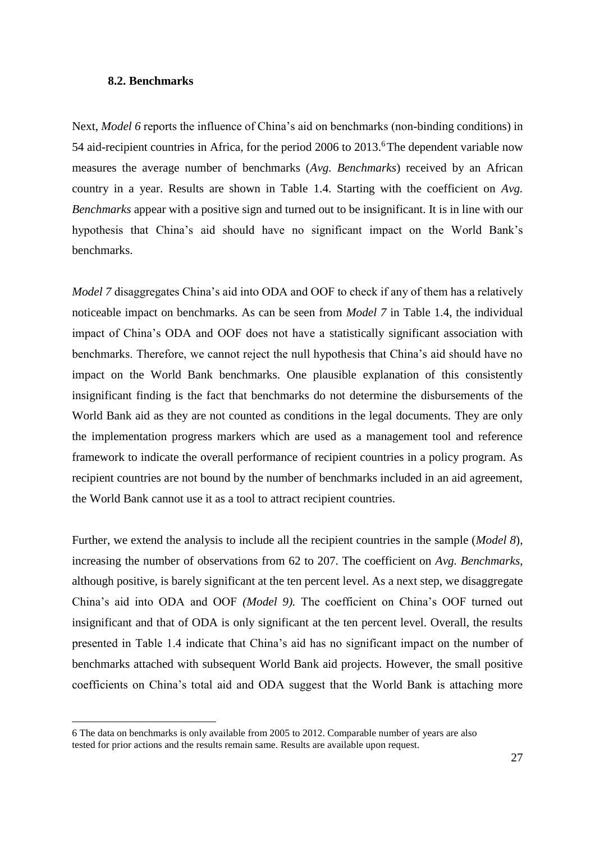### **8.2. Benchmarks**

Next, *Model 6* reports the influence of China's aid on benchmarks (non-binding conditions) in 54 aid-recipient countries in Africa, for the period 2006 to 2013.<sup>6</sup>The dependent variable now measures the average number of benchmarks (*Avg. Benchmarks*) received by an African country in a year. Results are shown in Table 1.4. Starting with the coefficient on *Avg. Benchmarks* appear with a positive sign and turned out to be insignificant. It is in line with our hypothesis that China's aid should have no significant impact on the World Bank's benchmarks.

*Model 7* disaggregates China's aid into ODA and OOF to check if any of them has a relatively noticeable impact on benchmarks. As can be seen from *Model 7* in Table 1.4, the individual impact of China's ODA and OOF does not have a statistically significant association with benchmarks. Therefore, we cannot reject the null hypothesis that China's aid should have no impact on the World Bank benchmarks. One plausible explanation of this consistently insignificant finding is the fact that benchmarks do not determine the disbursements of the World Bank aid as they are not counted as conditions in the legal documents. They are only the implementation progress markers which are used as a management tool and reference framework to indicate the overall performance of recipient countries in a policy program. As recipient countries are not bound by the number of benchmarks included in an aid agreement, the World Bank cannot use it as a tool to attract recipient countries.

Further, we extend the analysis to include all the recipient countries in the sample (*Model 8*), increasing the number of observations from 62 to 207. The coefficient on *Avg. Benchmarks*, although positive, is barely significant at the ten percent level. As a next step, we disaggregate China's aid into ODA and OOF *(Model 9).* The coefficient on China's OOF turned out insignificant and that of ODA is only significant at the ten percent level. Overall, the results presented in Table 1.4 indicate that China's aid has no significant impact on the number of benchmarks attached with subsequent World Bank aid projects. However, the small positive coefficients on China's total aid and ODA suggest that the World Bank is attaching more

 $\overline{a}$ 

<sup>6</sup> The data on benchmarks is only available from 2005 to 2012. Comparable number of years are also tested for prior actions and the results remain same. Results are available upon request.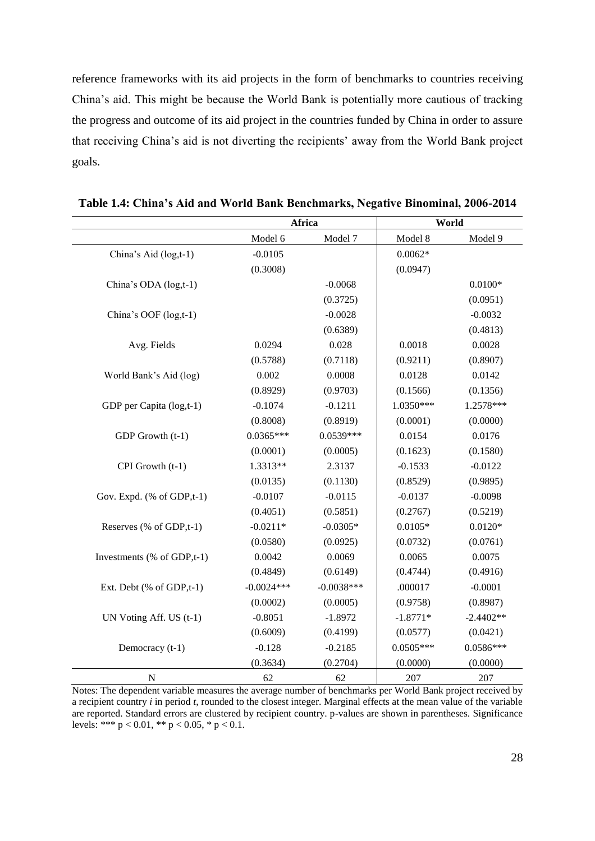reference frameworks with its aid projects in the form of benchmarks to countries receiving China's aid. This might be because the World Bank is potentially more cautious of tracking the progress and outcome of its aid project in the countries funded by China in order to assure that receiving China's aid is not diverting the recipients' away from the World Bank project goals.

|                            |              | Africa       | World       |             |  |
|----------------------------|--------------|--------------|-------------|-------------|--|
|                            | Model 6      | Model 7      | Model 8     | Model 9     |  |
| China's Aid (log,t-1)      | $-0.0105$    |              | $0.0062*$   |             |  |
|                            | (0.3008)     |              | (0.0947)    |             |  |
| China's ODA (log,t-1)      |              | $-0.0068$    |             | $0.0100*$   |  |
|                            |              | (0.3725)     |             | (0.0951)    |  |
| China's OOF (log,t-1)      |              | $-0.0028$    |             | $-0.0032$   |  |
|                            |              | (0.6389)     |             | (0.4813)    |  |
| Avg. Fields                | 0.0294       | 0.028        | 0.0018      | 0.0028      |  |
|                            | (0.5788)     | (0.7118)     | (0.9211)    | (0.8907)    |  |
| World Bank's Aid (log)     | 0.002        | 0.0008       | 0.0128      | 0.0142      |  |
|                            | (0.8929)     | (0.9703)     | (0.1566)    | (0.1356)    |  |
| GDP per Capita (log,t-1)   | $-0.1074$    | $-0.1211$    | 1.0350***   | 1.2578***   |  |
|                            | (0.8008)     | (0.8919)     | (0.0001)    | (0.0000)    |  |
| GDP Growth (t-1)           | $0.0365***$  | $0.0539***$  | 0.0154      | 0.0176      |  |
|                            | (0.0001)     | (0.0005)     | (0.1623)    | (0.1580)    |  |
| CPI Growth (t-1)           | 1.3313**     | 2.3137       | $-0.1533$   | $-0.0122$   |  |
|                            | (0.0135)     | (0.1130)     | (0.8529)    | (0.9895)    |  |
| Gov. Expd. (% of GDP,t-1)  | $-0.0107$    | $-0.0115$    | $-0.0137$   | $-0.0098$   |  |
|                            | (0.4051)     | (0.5851)     | (0.2767)    | (0.5219)    |  |
| Reserves (% of GDP,t-1)    | $-0.0211*$   | $-0.0305*$   | $0.0105*$   | $0.0120*$   |  |
|                            | (0.0580)     | (0.0925)     | (0.0732)    | (0.0761)    |  |
| Investments (% of GDP,t-1) | 0.0042       | 0.0069       | 0.0065      | 0.0075      |  |
|                            | (0.4849)     | (0.6149)     | (0.4744)    | (0.4916)    |  |
| Ext. Debt (% of GDP,t-1)   | $-0.0024***$ | $-0.0038***$ | .000017     | $-0.0001$   |  |
|                            | (0.0002)     | (0.0005)     | (0.9758)    | (0.8987)    |  |
| UN Voting Aff. US (t-1)    | $-0.8051$    | $-1.8972$    | $-1.8771*$  | $-2.4402**$ |  |
|                            | (0.6009)     | (0.4199)     | (0.0577)    | (0.0421)    |  |
| Democracy (t-1)            | $-0.128$     | $-0.2185$    | $0.0505***$ | $0.0586***$ |  |
|                            | (0.3634)     | (0.2704)     | (0.0000)    | (0.0000)    |  |
| ${\bf N}$                  | 62           | 62           | 207         | 207         |  |

**Table 1.4: China's Aid and World Bank Benchmarks, Negative Binominal, 2006-2014**

Notes: The dependent variable measures the average number of benchmarks per World Bank project received by a recipient country *i* in period *t*, rounded to the closest integer. Marginal effects at the mean value of the variable are reported. Standard errors are clustered by recipient country. p-values are shown in parentheses. Significance levels: \*\*\* p < 0.01, \*\* p < 0.05, \* p < 0.1.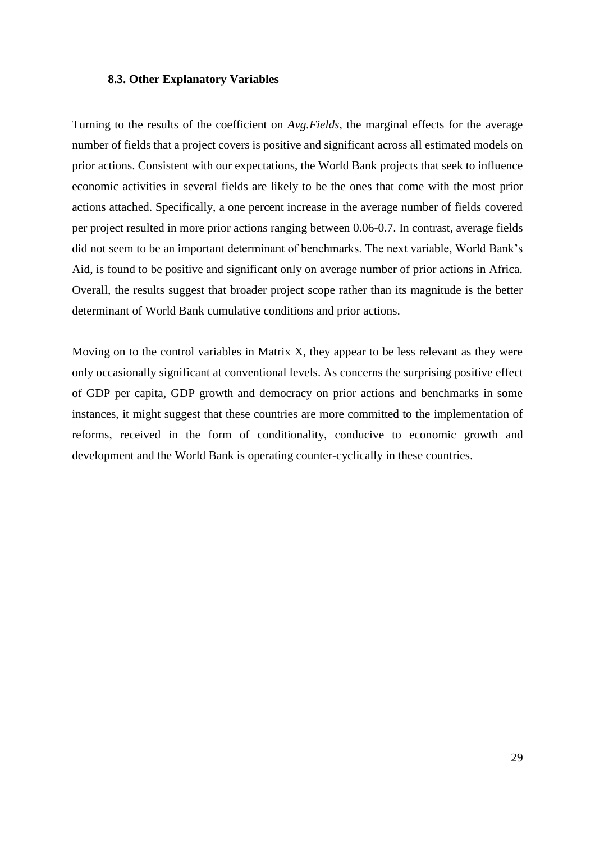### **8.3. Other Explanatory Variables**

Turning to the results of the coefficient on *Avg.Fields*, the marginal effects for the average number of fields that a project covers is positive and significant across all estimated models on prior actions. Consistent with our expectations, the World Bank projects that seek to influence economic activities in several fields are likely to be the ones that come with the most prior actions attached. Specifically, a one percent increase in the average number of fields covered per project resulted in more prior actions ranging between 0.06-0.7. In contrast, average fields did not seem to be an important determinant of benchmarks. The next variable, World Bank's Aid, is found to be positive and significant only on average number of prior actions in Africa. Overall, the results suggest that broader project scope rather than its magnitude is the better determinant of World Bank cumulative conditions and prior actions.

Moving on to the control variables in Matrix X, they appear to be less relevant as they were only occasionally significant at conventional levels. As concerns the surprising positive effect of GDP per capita, GDP growth and democracy on prior actions and benchmarks in some instances, it might suggest that these countries are more committed to the implementation of reforms, received in the form of conditionality, conducive to economic growth and development and the World Bank is operating counter-cyclically in these countries.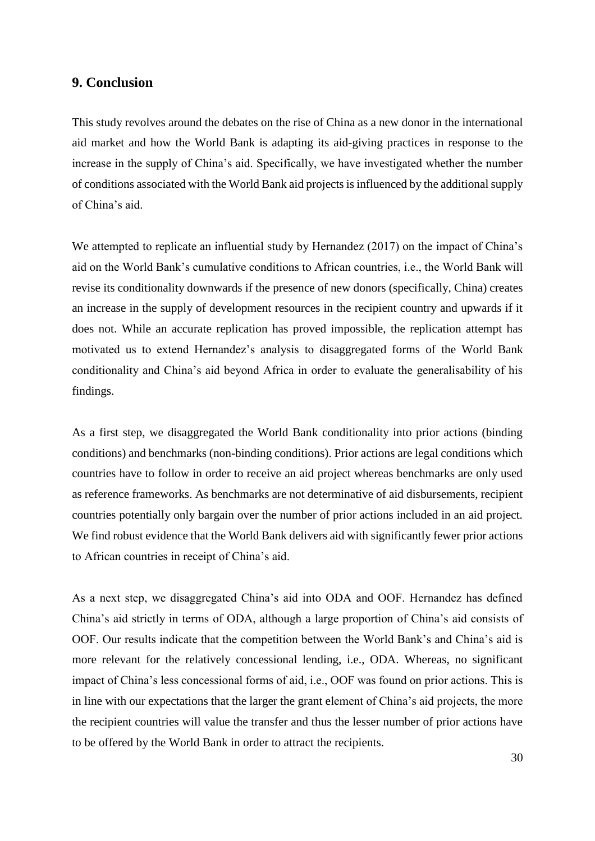## **9. Conclusion**

This study revolves around the debates on the rise of China as a new donor in the international aid market and how the World Bank is adapting its aid-giving practices in response to the increase in the supply of China's aid. Specifically, we have investigated whether the number of conditions associated with the World Bank aid projects is influenced by the additional supply of China's aid.

We attempted to replicate an influential study by Hernandez (2017) on the impact of China's aid on the World Bank's cumulative conditions to African countries, i.e., the World Bank will revise its conditionality downwards if the presence of new donors (specifically, China) creates an increase in the supply of development resources in the recipient country and upwards if it does not. While an accurate replication has proved impossible, the replication attempt has motivated us to extend Hernandez's analysis to disaggregated forms of the World Bank conditionality and China's aid beyond Africa in order to evaluate the generalisability of his findings.

As a first step, we disaggregated the World Bank conditionality into prior actions (binding conditions) and benchmarks (non-binding conditions). Prior actions are legal conditions which countries have to follow in order to receive an aid project whereas benchmarks are only used as reference frameworks. As benchmarks are not determinative of aid disbursements, recipient countries potentially only bargain over the number of prior actions included in an aid project. We find robust evidence that the World Bank delivers aid with significantly fewer prior actions to African countries in receipt of China's aid.

As a next step, we disaggregated China's aid into ODA and OOF. Hernandez has defined China's aid strictly in terms of ODA, although a large proportion of China's aid consists of OOF. Our results indicate that the competition between the World Bank's and China's aid is more relevant for the relatively concessional lending, i.e., ODA. Whereas, no significant impact of China's less concessional forms of aid, i.e., OOF was found on prior actions. This is in line with our expectations that the larger the grant element of China's aid projects, the more the recipient countries will value the transfer and thus the lesser number of prior actions have to be offered by the World Bank in order to attract the recipients.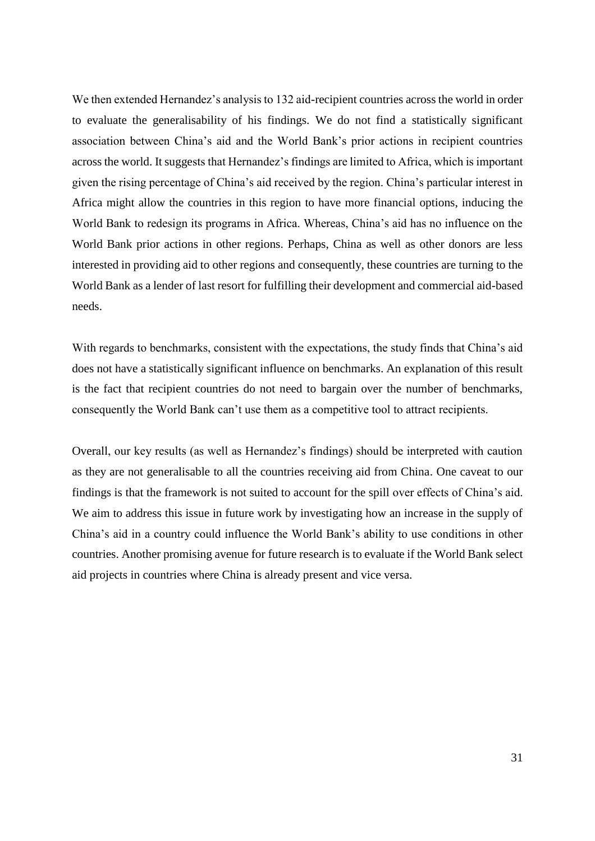We then extended Hernandez's analysis to 132 aid-recipient countries across the world in order to evaluate the generalisability of his findings. We do not find a statistically significant association between China's aid and the World Bank's prior actions in recipient countries across the world. It suggests that Hernandez's findings are limited to Africa, which is important given the rising percentage of China's aid received by the region. China's particular interest in Africa might allow the countries in this region to have more financial options, inducing the World Bank to redesign its programs in Africa. Whereas, China's aid has no influence on the World Bank prior actions in other regions. Perhaps, China as well as other donors are less interested in providing aid to other regions and consequently, these countries are turning to the World Bank as a lender of last resort for fulfilling their development and commercial aid-based needs.

With regards to benchmarks, consistent with the expectations, the study finds that China's aid does not have a statistically significant influence on benchmarks. An explanation of this result is the fact that recipient countries do not need to bargain over the number of benchmarks, consequently the World Bank can't use them as a competitive tool to attract recipients.

Overall, our key results (as well as Hernandez's findings) should be interpreted with caution as they are not generalisable to all the countries receiving aid from China. One caveat to our findings is that the framework is not suited to account for the spill over effects of China's aid. We aim to address this issue in future work by investigating how an increase in the supply of China's aid in a country could influence the World Bank's ability to use conditions in other countries. Another promising avenue for future research is to evaluate if the World Bank select aid projects in countries where China is already present and vice versa.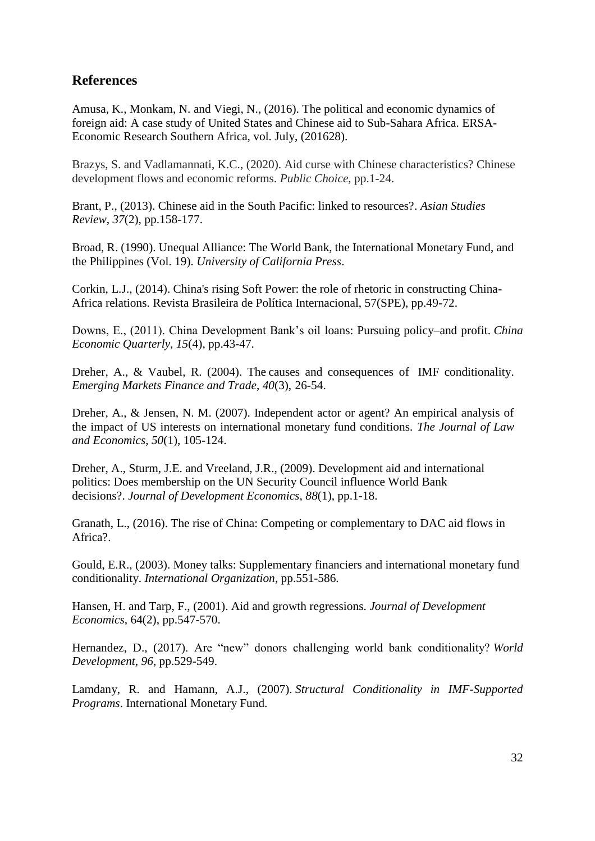## **References**

Amusa, K., Monkam, N. and Viegi, N., (2016). The political and economic dynamics of foreign aid: A case study of United States and Chinese aid to Sub-Sahara Africa. ERSA-Economic Research Southern Africa, vol. July, (201628).

Brazys, S. and Vadlamannati, K.C., (2020). Aid curse with Chinese characteristics? Chinese development flows and economic reforms. *Public Choice*, pp.1-24.

Brant, P., (2013). Chinese aid in the South Pacific: linked to resources?. *Asian Studies Review*, *37*(2), pp.158-177.

Broad, R. (1990). Unequal Alliance: The World Bank, the International Monetary Fund, and the Philippines (Vol. 19). *University of California Press*.

Corkin, L.J., (2014). China's rising Soft Power: the role of rhetoric in constructing China-Africa relations. Revista Brasileira de Política Internacional, 57(SPE), pp.49-72.

Downs, E., (2011). China Development Bank's oil loans: Pursuing policy–and profit. *China Economic Quarterly*, *15*(4), pp.43-47.

Dreher, A., & Vaubel, R. (2004). The causes and consequences of IMF conditionality. *Emerging Markets Finance and Trade*, *40*(3), 26-54.

Dreher, A., & Jensen, N. M. (2007). Independent actor or agent? An empirical analysis of the impact of US interests on international monetary fund conditions. *The Journal of Law and Economics*, *50*(1), 105-124.

Dreher, A., Sturm, J.E. and Vreeland, J.R., (2009). Development aid and international politics: Does membership on the UN Security Council influence World Bank decisions?. *Journal of Development Economics*, *88*(1), pp.1-18.

Granath, L., (2016). The rise of China: Competing or complementary to DAC aid flows in Africa?.

Gould, E.R., (2003). Money talks: Supplementary financiers and international monetary fund conditionality. *International Organization*, pp.551-586.

Hansen, H. and Tarp, F., (2001). Aid and growth regressions. *Journal of Development Economics*, 64(2), pp.547-570.

Hernandez, D., (2017). Are "new" donors challenging world bank conditionality? *World Development*, *96*, pp.529-549.

Lamdany, R. and Hamann, A.J., (2007). *Structural Conditionality in IMF-Supported Programs*. International Monetary Fund.